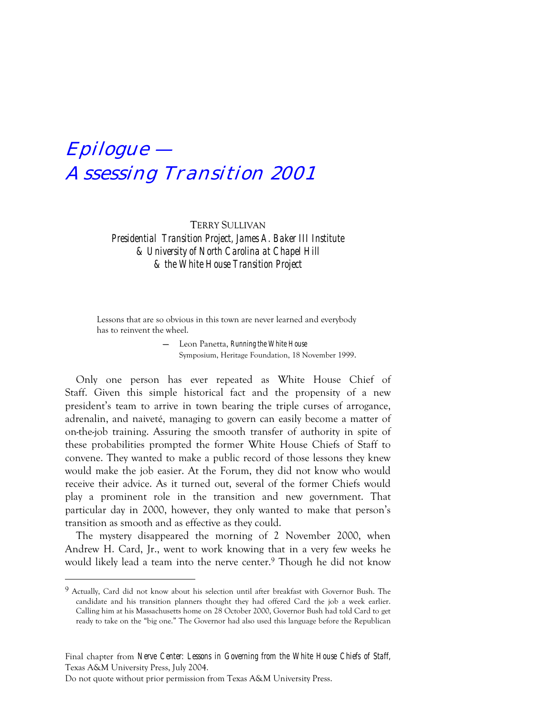# Epilogue — Assessing Transition 2001

TERRY SULLIVAN

*Presidential Transition Project, James A. Baker III Institute & University of North Carolina at Chapel Hill & the White House Transition Project* 

Lessons that are so obvious in this town are never learned and everybody has to reinvent the wheel.

> Leon Panetta, *Running the White House* Symposium, Heritage Foundation, 18 November 1999.

Only one person has ever repeated as White House Chief of Staff. Given this simple historical fact and the propensity of a new president's team to arrive in town bearing the triple curses of arrogance, adrenalin, and naiveté, managing to govern can easily become a matter of on-the-job training. Assuring the smooth transfer of authority in spite of these probabilities prompted the former White House Chiefs of Staff to convene. They wanted to make a public record of those lessons they knew would make the job easier. At the Forum, they did not know who would receive their advice. As it turned out, several of the former Chiefs would play a prominent role in the transition and new government. That particular day in 2000, however, they only wanted to make that person's transition as smooth and as effective as they could.

The mystery disappeared the morning of 2 November 2000, when Andrew H. Card, Jr., went to work knowing that in a very few weeks he would likely lead a team into the nerve center.<sup>9</sup> Though he did not know

Final chapter from *Nerve Center: Lessons in Governing from the White House Chiefs of Staff,*  Texas A&M University Press, July 2004.

 $\overline{a}$ 

 $9$  Actually, Card did not know about his selection until after breakfast with Governor Bush. The candidate and his transition planners thought they had offered Card the job a week earlier. Calling him at his Massachusetts home on 28 October 2000, Governor Bush had told Card to get ready to take on the "big one." The Governor had also used this language before the Republican

Do not quote without prior permission from Texas A&M University Press.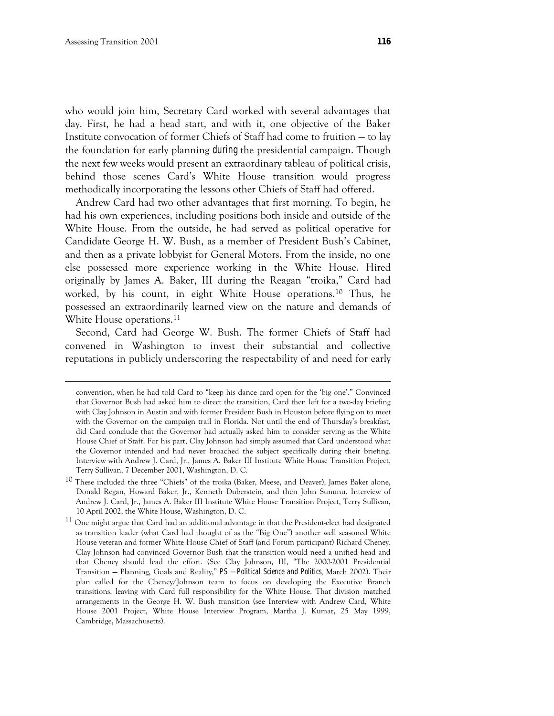who would join him, Secretary Card worked with several advantages that day. First, he had a head start, and with it, one objective of the Baker Institute convocation of former Chiefs of Staff had come to fruition  $-$  to lay the foundation for early planning *during* the presidential campaign. Though the next few weeks would present an extraordinary tableau of political crisis, behind those scenes Card's White House transition would progress methodically incorporating the lessons other Chiefs of Staff had offered.

Andrew Card had two other advantages that first morning. To begin, he had his own experiences, including positions both inside and outside of the White House. From the outside, he had served as political operative for Candidate George H. W. Bush, as a member of President Bush's Cabinet, and then as a private lobbyist for General Motors. From the inside, no one else possessed more experience working in the White House. Hired originally by James A. Baker, III during the Reagan "troika," Card had worked, by his count, in eight White House operations.10 Thus, he possessed an extraordinarily learned view on the nature and demands of White House operations.<sup>11</sup>

Second, Card had George W. Bush. The former Chiefs of Staff had convened in Washington to invest their substantial and collective reputations in publicly underscoring the respectability of and need for early

convention, when he had told Card to "keep his dance card open for the 'big one'." Convinced that Governor Bush had asked him to direct the transition, Card then left for a two-day briefing with Clay Johnson in Austin and with former President Bush in Houston before flying on to meet with the Governor on the campaign trail in Florida. Not until the end of Thursday's breakfast, did Card conclude that the Governor had actually asked him to consider serving as the White House Chief of Staff. For his part, Clay Johnson had simply assumed that Card understood what the Governor intended and had never broached the subject specifically during their briefing. Interview with Andrew J. Card, Jr., James A. Baker III Institute White House Transition Project, Terry Sullivan, 7 December 2001, Washington, D. C.

 $10$  These included the three "Chiefs" of the troika (Baker, Meese, and Deaver), James Baker alone, Donald Regan, Howard Baker, Jr., Kenneth Duberstein, and then John Sununu. Interview of Andrew J. Card, Jr., James A. Baker III Institute White House Transition Project, Terry Sullivan, 10 April 2002, the White House, Washington, D. C.

<sup>&</sup>lt;sup>11</sup> One might argue that Card had an additional advantage in that the President-elect had designated as transition leader (what Card had thought of as the "Big One") another well seasoned White House veteran and former White House Chief of Staff (and Forum participant) Richard Cheney. Clay Johnson had convinced Governor Bush that the transition would need a unified head and that Cheney should lead the effort. (See Clay Johnson, III, "The 2000-2001 Presidential Transition – Planning, Goals and Reality," *PS - Political Science and Politics*, March 2002). Their plan called for the Cheney/Johnson team to focus on developing the Executive Branch transitions, leaving with Card full responsibility for the White House. That division matched arrangements in the George H. W. Bush transition (see Interview with Andrew Card, White House 2001 Project, White House Interview Program, Martha J. Kumar, 25 May 1999, Cambridge, Massachusetts).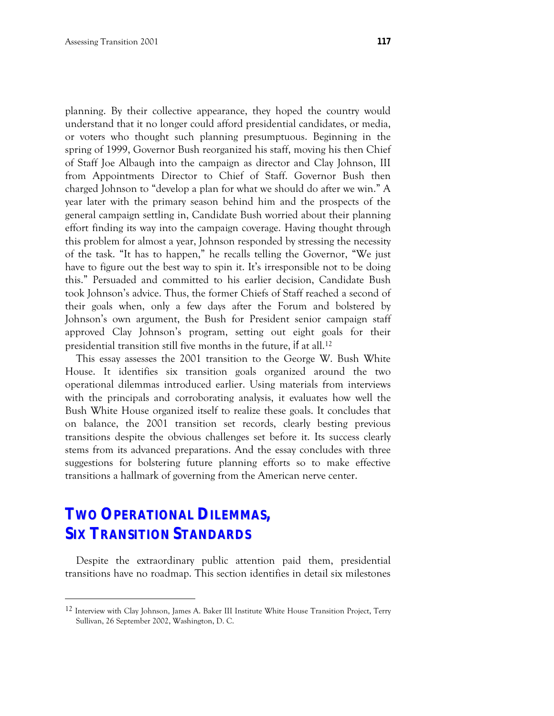planning. By their collective appearance, they hoped the country would understand that it no longer could afford presidential candidates, or media, or voters who thought such planning presumptuous. Beginning in the spring of 1999, Governor Bush reorganized his staff, moving his then Chief of Staff Joe Albaugh into the campaign as director and Clay Johnson, III from Appointments Director to Chief of Staff. Governor Bush then charged Johnson to "develop a plan for what we should do after we win." A year later with the primary season behind him and the prospects of the general campaign settling in, Candidate Bush worried about their planning effort finding its way into the campaign coverage. Having thought through this problem for almost a year, Johnson responded by stressing the necessity of the task. "It has to happen," he recalls telling the Governor, "We just have to figure out the best way to spin it. It's irresponsible not to be doing this.î Persuaded and committed to his earlier decision, Candidate Bush took Johnsonís advice. Thus, the former Chiefs of Staff reached a second of their goals when, only a few days after the Forum and bolstered by Johnsonís own argument, the Bush for President senior campaign staff approved Clay Johnson's program, setting out eight goals for their presidential transition still five months in the future, *if* at all.12

This essay assesses the 2001 transition to the George W. Bush White House. It identifies six transition goals organized around the two operational dilemmas introduced earlier. Using materials from interviews with the principals and corroborating analysis, it evaluates how well the Bush White House organized itself to realize these goals. It concludes that on balance, the 2001 transition set records, clearly besting previous transitions despite the obvious challenges set before it. Its success clearly stems from its advanced preparations. And the essay concludes with three suggestions for bolstering future planning efforts so to make effective transitions a hallmark of governing from the American nerve center.

## **TWO OPERATIONAL DILEMMAS, SIX TRANSITION STANDARDS**

 $\overline{a}$ 

Despite the extraordinary public attention paid them, presidential transitions have no roadmap. This section identifies in detail six milestones

<sup>&</sup>lt;sup>12</sup> Interview with Clay Johnson, James A. Baker III Institute White House Transition Project, Terry Sullivan, 26 September 2002, Washington, D. C.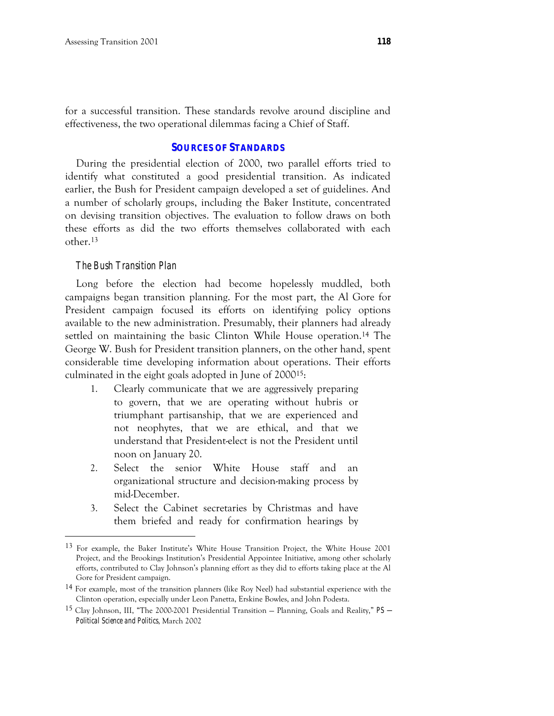for a successful transition. These standards revolve around discipline and effectiveness, the two operational dilemmas facing a Chief of Staff.

#### **SOURCES OF STANDARDS**

During the presidential election of 2000, two parallel efforts tried to identify what constituted a good presidential transition. As indicated earlier, the Bush for President campaign developed a set of guidelines. And a number of scholarly groups, including the Baker Institute, concentrated on devising transition objectives. The evaluation to follow draws on both these efforts as did the two efforts themselves collaborated with each other.13

## *The Bush Transition Plan*

 $\overline{a}$ 

Long before the election had become hopelessly muddled, both campaigns began transition planning. For the most part, the Al Gore for President campaign focused its efforts on identifying policy options available to the new administration. Presumably, their planners had already settled on maintaining the basic Clinton While House operation.<sup>14</sup> The George W. Bush for President transition planners, on the other hand, spent considerable time developing information about operations. Their efforts culminated in the eight goals adopted in June of 200015:

- 1. Clearly communicate that we are aggressively preparing to govern, that we are operating without hubris or triumphant partisanship, that we are experienced and not neophytes, that we are ethical, and that we understand that President-elect is not the President until noon on January 20.
- 2. Select the senior White House staff and an organizational structure and decision-making process by mid-December.
- 3. Select the Cabinet secretaries by Christmas and have them briefed and ready for confirmation hearings by

<sup>&</sup>lt;sup>13</sup> For example, the Baker Institute's White House Transition Project, the White House 2001 Project, and the Brookings Institution's Presidential Appointee Initiative, among other scholarly efforts, contributed to Clay Johnsonís planning effort as they did to efforts taking place at the Al Gore for President campaign.

<sup>14</sup> For example, most of the transition planners (like Roy Neel) had substantial experience with the Clinton operation, especially under Leon Panetta, Erskine Bowles, and John Podesta.

<sup>&</sup>lt;sup>15</sup> Clay Johnson, III, "The 2000-2001 Presidential Transition – Planning, Goals and Reality," **PS** – *Political Science and Politics*, March 2002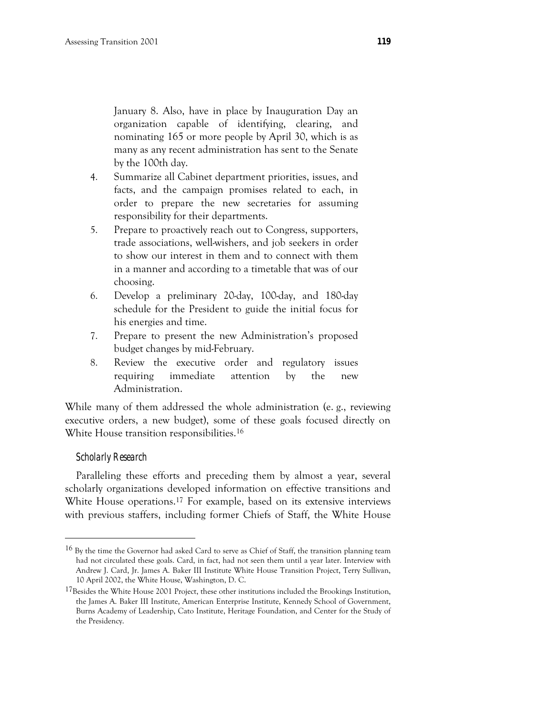January 8. Also, have in place by Inauguration Day an organization capable of identifying, clearing, and nominating 165 or more people by April 30, which is as many as any recent administration has sent to the Senate by the 100th day.

- 4. Summarize all Cabinet department priorities, issues, and facts, and the campaign promises related to each, in order to prepare the new secretaries for assuming responsibility for their departments.
- 5. Prepare to proactively reach out to Congress, supporters, trade associations, well-wishers, and job seekers in order to show our interest in them and to connect with them in a manner and according to a timetable that was of our choosing.
- 6. Develop a preliminary 20-day, 100-day, and 180-day schedule for the President to guide the initial focus for his energies and time.
- 7. Prepare to present the new Administration's proposed budget changes by mid-February.
- 8. Review the executive order and regulatory issues requiring immediate attention by the new Administration.

While many of them addressed the whole administration (e. g., reviewing executive orders, a new budget), some of these goals focused directly on White House transition responsibilities.<sup>16</sup>

## *Scholarly Research*

 $\overline{a}$ 

Paralleling these efforts and preceding them by almost a year, several scholarly organizations developed information on effective transitions and White House operations.17 For example, based on its extensive interviews with previous staffers, including former Chiefs of Staff, the White House

<sup>&</sup>lt;sup>16</sup> By the time the Governor had asked Card to serve as Chief of Staff, the transition planning team had not circulated these goals. Card, in fact, had not seen them until a year later. Interview with Andrew J. Card, Jr. James A. Baker III Institute White House Transition Project, Terry Sullivan, 10 April 2002, the White House, Washington, D. C.

<sup>&</sup>lt;sup>17</sup>Besides the White House 2001 Project, these other institutions included the Brookings Institution, the James A. Baker III Institute, American Enterprise Institute, Kennedy School of Government, Burns Academy of Leadership, Cato Institute, Heritage Foundation, and Center for the Study of the Presidency.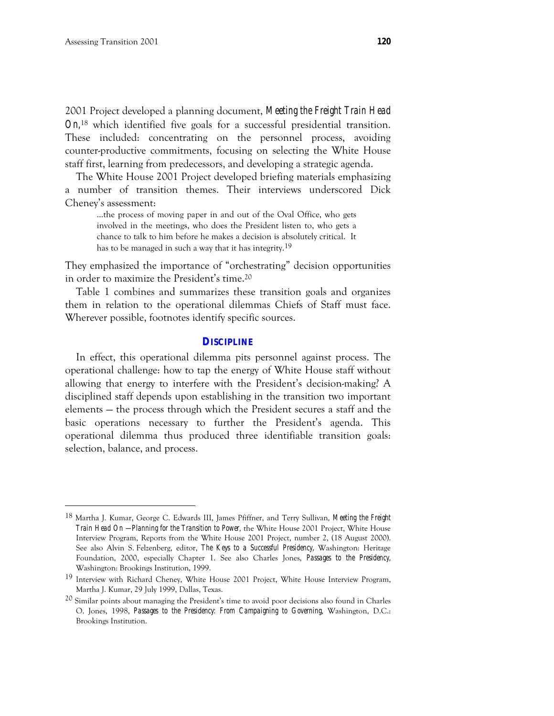$\overline{a}$ 

2001 Project developed a planning document, *Meeting the Freight Train Head On,*18 which identified five goals for a successful presidential transition. These included: concentrating on the personnel process, avoiding counter-productive commitments, focusing on selecting the White House staff first, learning from predecessors, and developing a strategic agenda.

The White House 2001 Project developed briefing materials emphasizing a number of transition themes. Their interviews underscored Dick Cheney's assessment:

the process of moving paper in and out of the Oval Office, who gets involved in the meetings, who does the President listen to, who gets a chance to talk to him before he makes a decision is absolutely critical. It has to be managed in such a way that it has integrity.<sup>19</sup>

They emphasized the importance of "orchestrating" decision opportunities in order to maximize the President's time.<sup>20</sup>

[Table 1](#page-6-0) combines and summarizes these transition goals and organizes them in relation to the operational dilemmas Chiefs of Staff must face. Wherever possible, footnotes identify specific sources.

#### **DISCIPLINE**

In effect, this operational dilemma pits personnel against process. The operational challenge: how to tap the energy of White House staff without allowing that energy to interfere with the President's decision-making? A disciplined staff depends upon establishing in the transition two important elements – the process through which the President secures a staff and the basic operations necessary to further the President's agenda. This operational dilemma thus produced three identifiable transition goals: selection, balance, and process.

<sup>18</sup> Martha J. Kumar, George C. Edwards III, James Pfiffner, and Terry Sullivan*, Meeting the Freight Train Head On - Planning for the Transition to Power*, the White House 2001 Project, White House Interview Program, Reports from the White House 2001 Project, number 2, (18 August 2000). See also Alvin S. Felzenberg, editor, *The Keys to a Successful Presidency,* Washington: Heritage Foundation, 2000, especially Chapter 1. See also Charles Jones, *Passages to the Presidency,*  Washington: Brookings Institution, 1999.

<sup>&</sup>lt;sup>19</sup> Interview with Richard Cheney, White House 2001 Project, White House Interview Program, Martha J. Kumar, 29 July 1999, Dallas, Texas.

 $20$  Similar points about managing the President's time to avoid poor decisions also found in Charles O. Jones, 1998, *Passages to the Presidency: From Campaigning to Governing*, Washington, D.C.: Brookings Institution.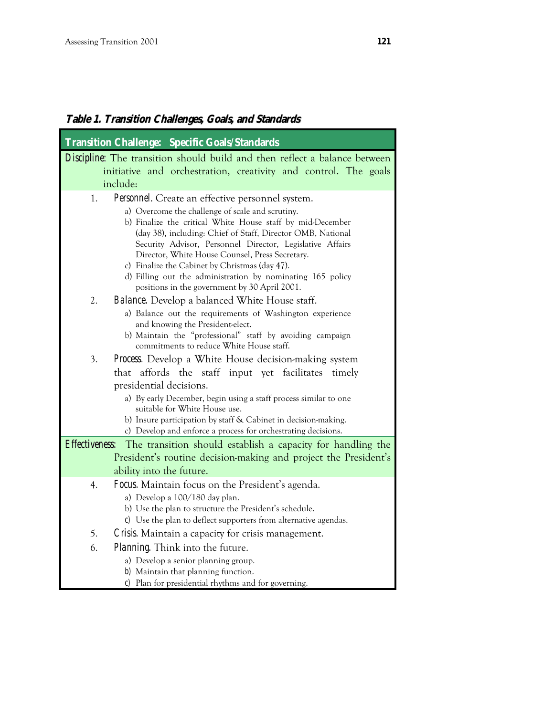<span id="page-6-0"></span>**Table 1. Transition Challenges, Goals, and Standards**

|                       | <b>Transition Challenge: Specific Goals/Standards</b>                                                                                                                                                                                                                                                                                                                                                                                                          |
|-----------------------|----------------------------------------------------------------------------------------------------------------------------------------------------------------------------------------------------------------------------------------------------------------------------------------------------------------------------------------------------------------------------------------------------------------------------------------------------------------|
|                       | <b>Discipline:</b> The transition should build and then reflect a balance between                                                                                                                                                                                                                                                                                                                                                                              |
|                       | initiative and orchestration, creativity and control. The goals<br>include:                                                                                                                                                                                                                                                                                                                                                                                    |
| 1.                    | <b>Personnel</b> . Create an effective personnel system.                                                                                                                                                                                                                                                                                                                                                                                                       |
|                       | a) Overcome the challenge of scale and scrutiny.<br>b) Finalize the critical White House staff by mid-December<br>(day 38), including: Chief of Staff, Director OMB, National<br>Security Advisor, Personnel Director, Legislative Affairs<br>Director, White House Counsel, Press Secretary.<br>c) Finalize the Cabinet by Christmas (day 47).<br>d) Filling out the administration by nominating 165 policy<br>positions in the government by 30 April 2001. |
| 2.                    | <b>Balance.</b> Develop a balanced White House staff.                                                                                                                                                                                                                                                                                                                                                                                                          |
|                       | a) Balance out the requirements of Washington experience<br>and knowing the President-elect.<br>b) Maintain the "professional" staff by avoiding campaign<br>commitments to reduce White House staff.                                                                                                                                                                                                                                                          |
| 3.                    | Process. Develop a White House decision-making system                                                                                                                                                                                                                                                                                                                                                                                                          |
|                       | that affords the staff input yet facilitates<br>timely                                                                                                                                                                                                                                                                                                                                                                                                         |
|                       | presidential decisions.                                                                                                                                                                                                                                                                                                                                                                                                                                        |
|                       | a) By early December, begin using a staff process similar to one<br>suitable for White House use.                                                                                                                                                                                                                                                                                                                                                              |
|                       | b) Insure participation by staff & Cabinet in decision-making.<br>c) Develop and enforce a process for orchestrating decisions.                                                                                                                                                                                                                                                                                                                                |
| <b>Effectiveness:</b> | The transition should establish a capacity for handling the                                                                                                                                                                                                                                                                                                                                                                                                    |
|                       | President's routine decision-making and project the President's<br>ability into the future.                                                                                                                                                                                                                                                                                                                                                                    |
| 4.                    | <b>Focus.</b> Maintain focus on the President's agenda.                                                                                                                                                                                                                                                                                                                                                                                                        |
|                       | a) Develop a 100/180 day plan.<br>b) Use the plan to structure the President's schedule.<br>$c$ ) Use the plan to deflect supporters from alternative agendas.                                                                                                                                                                                                                                                                                                 |
| 5.                    | <b>Crisis.</b> Maintain a capacity for crisis management.                                                                                                                                                                                                                                                                                                                                                                                                      |
| 6.                    | <b>Planning.</b> Think into the future.                                                                                                                                                                                                                                                                                                                                                                                                                        |
|                       | a) Develop a senior planning group.                                                                                                                                                                                                                                                                                                                                                                                                                            |
|                       | b) Maintain that planning function.<br>$c$ ) Plan for presidential rhythms and for governing.                                                                                                                                                                                                                                                                                                                                                                  |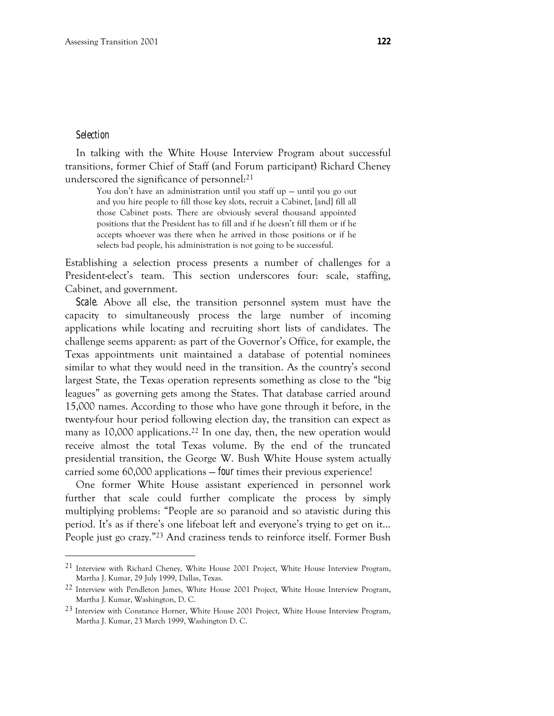#### *Selection*

 $\overline{a}$ 

In talking with the White House Interview Program about successful transitions, former Chief of Staff (and Forum participant) Richard Cheney underscored the significance of personnel:21

You don't have an administration until you staff up  $-$  until you go out and you hire people to fill those key slots, recruit a Cabinet, [and] fill all those Cabinet posts. There are obviously several thousand appointed positions that the President has to fill and if he doesn't fill them or if he accepts whoever was there when he arrived in those positions or if he selects bad people, his administration is not going to be successful.

Establishing a selection process presents a number of challenges for a President-elect's team. This section underscores four: scale, staffing, Cabinet, and government.

*Scale.* Above all else, the transition personnel system must have the capacity to simultaneously process the large number of incoming applications while locating and recruiting short lists of candidates. The challenge seems apparent: as part of the Governor's Office, for example, the Texas appointments unit maintained a database of potential nominees similar to what they would need in the transition. As the country's second largest State, the Texas operation represents something as close to the "big leagues" as governing gets among the States. That database carried around 15,000 names. According to those who have gone through it before, in the twenty-four hour period following election day, the transition can expect as many as 10,000 applications.<sup>22</sup> In one day, then, the new operation would receive almost the total Texas volume. By the end of the truncated presidential transition, the George W. Bush White House system actually carried some  $60,000$  applications  $-$  *four* times their previous experience!

One former White House assistant experienced in personnel work further that scale could further complicate the process by simply multiplying problems: "People are so paranoid and so atavistic during this period. It's as if there's one lifeboat left and everyone's trying to get on it... People just go crazy."<sup>23</sup> And craziness tends to reinforce itself. Former Bush

<sup>21</sup> Interview with Richard Cheney, White House 2001 Project, White House Interview Program, Martha J. Kumar, 29 July 1999, Dallas, Texas.

<sup>22</sup> Interview with Pendleton James, White House 2001 Project, White House Interview Program, Martha J. Kumar, Washington, D. C.

<sup>23</sup> Interview with Constance Horner, White House 2001 Project, White House Interview Program, Martha J. Kumar, 23 March 1999, Washington D. C.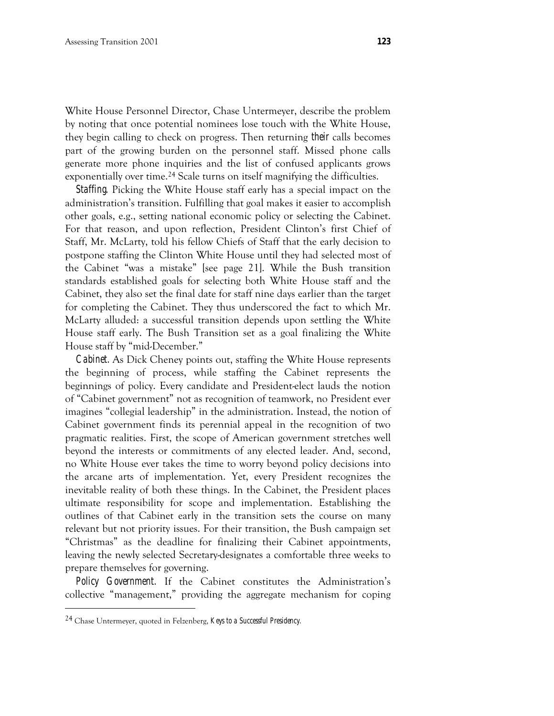White House Personnel Director, Chase Untermeyer, describe the problem by noting that once potential nominees lose touch with the White House, they begin calling to check on progress. Then returning *their* calls becomes part of the growing burden on the personnel staff. Missed phone calls generate more phone inquiries and the list of confused applicants grows exponentially over time.<sup>24</sup> Scale turns on itself magnifying the difficulties.

*Staffing.* Picking the White House staff early has a special impact on the administration's transition. Fulfilling that goal makes it easier to accomplish other goals, e.g., setting national economic policy or selecting the Cabinet. For that reason, and upon reflection, President Clinton's first Chief of Staff, Mr. McLarty, told his fellow Chiefs of Staff that the early decision to postpone staffing the Clinton White House until they had selected most of the Cabinet "was a mistake" [see page 21]. While the Bush transition standards established goals for selecting both White House staff and the Cabinet, they also set the final date for staff nine days earlier than the target for completing the Cabinet. They thus underscored the fact to which Mr. McLarty alluded: a successful transition depends upon settling the White House staff early. The Bush Transition set as a goal finalizing the White House staff by "mid-December."

*Cabinet.* As Dick Cheney points out, staffing the White House represents the beginning of process, while staffing the Cabinet represents the beginnings of policy. Every candidate and President-elect lauds the notion of "Cabinet government" not as recognition of teamwork, no President ever imagines "collegial leadership" in the administration. Instead, the notion of Cabinet government finds its perennial appeal in the recognition of two pragmatic realities. First, the scope of American government stretches well beyond the interests or commitments of any elected leader. And, second, no White House ever takes the time to worry beyond policy decisions into the arcane arts of implementation. Yet, every President recognizes the inevitable reality of both these things. In the Cabinet, the President places ultimate responsibility for scope and implementation. Establishing the outlines of that Cabinet early in the transition sets the course on many relevant but not priority issues. For their transition, the Bush campaign set ìChristmasî as the deadline for finalizing their Cabinet appointments, leaving the newly selected Secretary-designates a comfortable three weeks to prepare themselves for governing.

**Policy Government.** If the Cabinet constitutes the Administration's collective "management," providing the aggregate mechanism for coping

<u>.</u>

<sup>24</sup> Chase Untermeyer, quoted in Felzenberg, *Keys to a Successful Presidency.*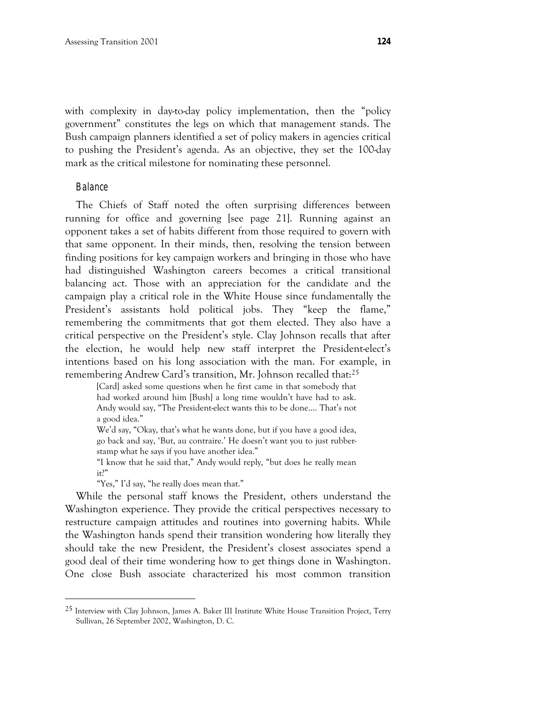with complexity in day-to-day policy implementation, then the "policy government" constitutes the legs on which that management stands. The Bush campaign planners identified a set of policy makers in agencies critical to pushing the Presidentís agenda. As an objective, they set the 100-day mark as the critical milestone for nominating these personnel.

## *Balance*

 $\overline{a}$ 

The Chiefs of Staff noted the often surprising differences between running for office and governing [see page 21]. Running against an opponent takes a set of habits different from those required to govern with that same opponent. In their minds, then, resolving the tension between finding positions for key campaign workers and bringing in those who have had distinguished Washington careers becomes a critical transitional balancing act. Those with an appreciation for the candidate and the campaign play a critical role in the White House since fundamentally the President's assistants hold political jobs. They "keep the flame," remembering the commitments that got them elected. They also have a critical perspective on the Presidentís style. Clay Johnson recalls that after the election, he would help new staff interpret the President-electís intentions based on his long association with the man. For example, in remembering Andrew Card's transition, Mr. Johnson recalled that:<sup>25</sup>

[Card] asked some questions when he first came in that somebody that had worked around him [Bush] a long time wouldn't have had to ask. Andy would say, "The President-elect wants this to be done.... That's not a good idea."

We'd say, "Okay, that's what he wants done, but if you have a good idea, go back and say, 'But, au contraire.' He doesn't want you to just rubberstamp what he says if you have another idea."

"I know that he said that," Andy would reply, "but does he really mean it?"

"Yes," I'd say, "he really does mean that."

While the personal staff knows the President, others understand the Washington experience. They provide the critical perspectives necessary to restructure campaign attitudes and routines into governing habits. While the Washington hands spend their transition wondering how literally they should take the new President, the Presidentís closest associates spend a good deal of their time wondering how to get things done in Washington. One close Bush associate characterized his most common transition

<sup>25</sup> Interview with Clay Johnson, James A. Baker III Institute White House Transition Project, Terry Sullivan, 26 September 2002, Washington, D. C.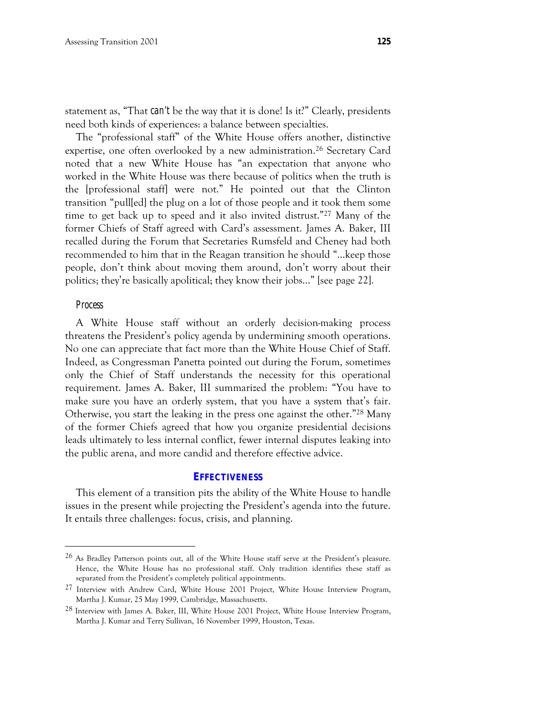statement as, "That *can't* be the way that it is done! Is it?" Clearly, presidents need both kinds of experiences: a balance between specialties.

The "professional staff" of the White House offers another, distinctive expertise, one often overlooked by a new administration.<sup>26</sup> Secretary Card noted that a new White House has "an expectation that anyone who worked in the White House was there because of politics when the truth is the [professional staff] were not." He pointed out that the Clinton transition "pull[ed] the plug on a lot of those people and it took them some time to get back up to speed and it also invited distrust.<sup>"27</sup> Many of the former Chiefs of Staff agreed with Card's assessment. James A. Baker, III recalled during the Forum that Secretaries Rumsfeld and Cheney had both recommended to him that in the Reagan transition he should "... keep those people, don't think about moving them around, don't worry about their politics; they're basically apolitical; they know their jobs..." [see page 22].

#### *Process*

 $\overline{a}$ 

A White House staff without an orderly decision-making process threatens the President's policy agenda by undermining smooth operations. No one can appreciate that fact more than the White House Chief of Staff. Indeed, as Congressman Panetta pointed out during the Forum, sometimes only the Chief of Staff understands the necessity for this operational requirement. James A. Baker, III summarized the problem: "You have to make sure you have an orderly system, that you have a system that's fair. Otherwise, you start the leaking in the press one against the other."<sup>28</sup> Many of the former Chiefs agreed that how you organize presidential decisions leads ultimately to less internal conflict, fewer internal disputes leaking into the public arena, and more candid and therefore effective advice.

#### **EFFECTIVENESS**

This element of a transition pits the ability of the White House to handle issues in the present while projecting the President's agenda into the future. It entails three challenges: focus, crisis, and planning.

<sup>&</sup>lt;sup>26</sup> As Bradley Patterson points out, all of the White House staff serve at the President's pleasure. Hence, the White House has no professional staff. Only tradition identifies these staff as separated from the President's completely political appointments.

<sup>27</sup> Interview with Andrew Card, White House 2001 Project, White House Interview Program, Martha J. Kumar, 25 May 1999, Cambridge, Massachusetts.

<sup>28</sup> Interview with James A. Baker, III, White House 2001 Project, White House Interview Program, Martha J. Kumar and Terry Sullivan, 16 November 1999, Houston, Texas.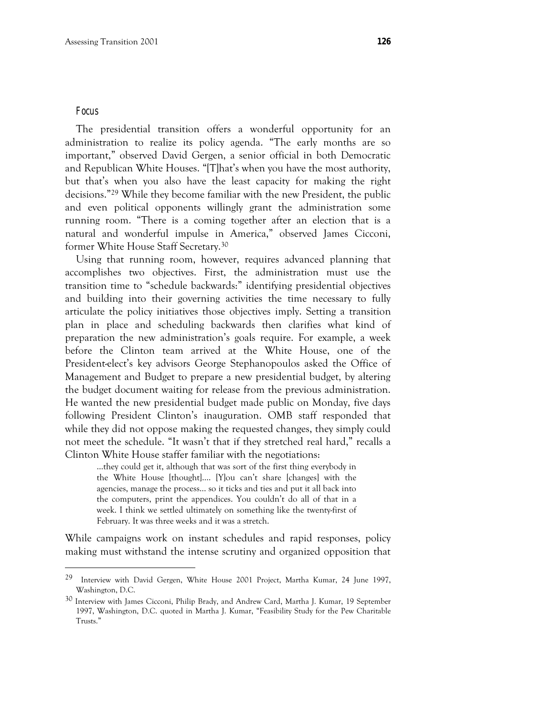## *Focus*

 $\overline{a}$ 

The presidential transition offers a wonderful opportunity for an administration to realize its policy agenda. "The early months are so important," observed David Gergen, a senior official in both Democratic and Republican White Houses. "[T]hat's when you have the most authority, but that's when you also have the least capacity for making the right decisions."<sup>29</sup> While they become familiar with the new President, the public and even political opponents willingly grant the administration some running room. "There is a coming together after an election that is a natural and wonderful impulse in America," observed James Cicconi, former White House Staff Secretary.30

Using that running room, however, requires advanced planning that accomplishes two objectives. First, the administration must use the transition time to "schedule backwards:" identifying presidential objectives and building into their governing activities the time necessary to fully articulate the policy initiatives those objectives imply. Setting a transition plan in place and scheduling backwards then clarifies what kind of preparation the new administration's goals require. For example, a week before the Clinton team arrived at the White House, one of the President-elect's key advisors George Stephanopoulos asked the Office of Management and Budget to prepare a new presidential budget, by altering the budget document waiting for release from the previous administration. He wanted the new presidential budget made public on Monday, five days following President Clinton's inauguration. OMB staff responded that while they did not oppose making the requested changes, they simply could not meet the schedule. "It wasn't that if they stretched real hard," recalls a Clinton White House staffer familiar with the negotiations:

...they could get it, although that was sort of the first thing everybody in the White House [thought].... [Y]ou can't share [changes] with the agencies, manage the process... so it ticks and ties and put it all back into the computers, print the appendices. You couldn't do all of that in a week. I think we settled ultimately on something like the twenty-first of February. It was three weeks and it was a stretch.

While campaigns work on instant schedules and rapid responses, policy making must withstand the intense scrutiny and organized opposition that

<sup>29</sup> Interview with David Gergen, White House 2001 Project, Martha Kumar, 24 June 1997, Washington, D.C.

<sup>&</sup>lt;sup>30</sup> Interview with James Cicconi, Philip Brady, and Andrew Card, Martha J. Kumar, 19 September 1997, Washington, D.C. quoted in Martha J. Kumar, "Feasibility Study for the Pew Charitable Trusts."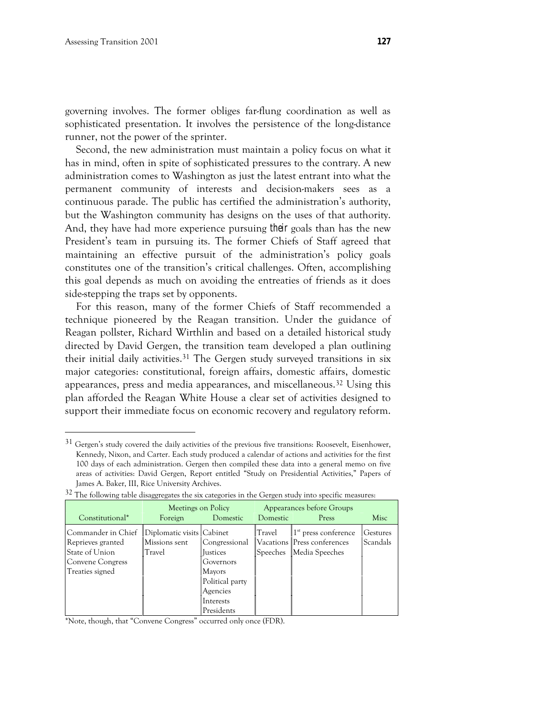<u>.</u>

governing involves. The former obliges far-flung coordination as well as sophisticated presentation. It involves the persistence of the long-distance runner, not the power of the sprinter.

Second, the new administration must maintain a policy focus on what it has in mind, often in spite of sophisticated pressures to the contrary. A new administration comes to Washington as just the latest entrant into what the permanent community of interests and decision-makers sees as a continuous parade. The public has certified the administration's authority, but the Washington community has designs on the uses of that authority. And, they have had more experience pursuing *their* goals than has the new President's team in pursuing its. The former Chiefs of Staff agreed that maintaining an effective pursuit of the administration's policy goals constitutes one of the transition's critical challenges. Often, accomplishing this goal depends as much on avoiding the entreaties of friends as it does side-stepping the traps set by opponents.

For this reason, many of the former Chiefs of Staff recommended a technique pioneered by the Reagan transition. Under the guidance of Reagan pollster, Richard Wirthlin and based on a detailed historical study directed by David Gergen, the transition team developed a plan outlining their initial daily activities.<sup>31</sup> The Gergen study surveyed transitions in six major categories: constitutional, foreign affairs, domestic affairs, domestic appearances, press and media appearances, and miscellaneous.32 Using this plan afforded the Reagan White House a clear set of activities designed to support their immediate focus on economic recovery and regulatory reform.

 $31$  Gergen's study covered the daily activities of the previous five transitions: Roosevelt, Eisenhower, Kennedy, Nixon, and Carter. Each study produced a calendar of actions and activities for the first 100 days of each administration. Gergen then compiled these data into a general memo on five areas of activities: David Gergen, Report entitled "Study on Presidential Activities," Papers of James A. Baker, III, Rice University Archives.

|                                                                                                         | Meetings on Policy                                   |                                                                                                                   |                     | Appearances before Groups                                                         |                       |
|---------------------------------------------------------------------------------------------------------|------------------------------------------------------|-------------------------------------------------------------------------------------------------------------------|---------------------|-----------------------------------------------------------------------------------|-----------------------|
| Constitutional*                                                                                         | Foreign                                              | Domestic                                                                                                          | Domestic            | Press                                                                             | Misc                  |
| Commander in Chief<br>Reprieves granted<br>State of Union<br><b>Convene Congress</b><br>Treaties signed | Diplomatic visits Cabinet<br>Missions sent<br>Travel | Congressional<br><b>Justices</b><br>Governors<br>Mayors<br>Political party<br>Agencies<br>Interests<br>Presidents | Travel<br> Speeches | 1 <sup>st</sup> press conference<br>Vacations Press conferences<br>Media Speeches | Gestures <br>Scandals |

<sup>32</sup> The following table disaggregates the six categories in the Gergen study into specific measures:

\*Note, though, that "Convene Congress" occurred only once (FDR).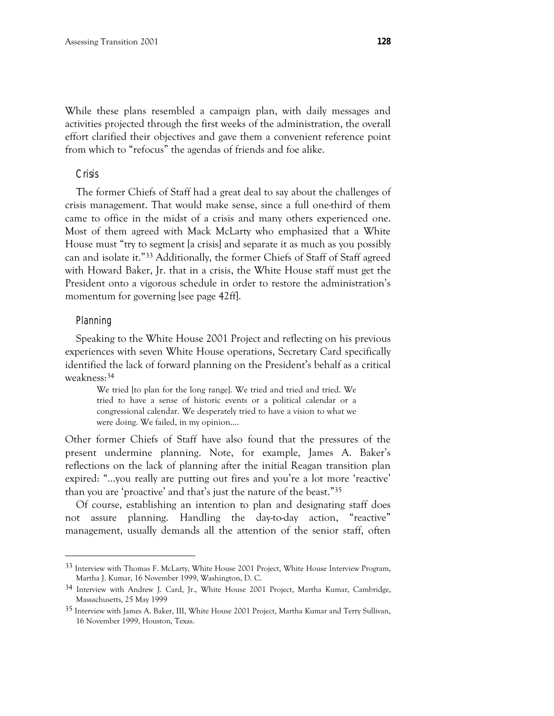While these plans resembled a campaign plan, with daily messages and activities projected through the first weeks of the administration, the overall effort clarified their objectives and gave them a convenient reference point from which to "refocus" the agendas of friends and foe alike.

#### *Crisis*

The former Chiefs of Staff had a great deal to say about the challenges of crisis management. That would make sense, since a full one-third of them came to office in the midst of a crisis and many others experienced one. Most of them agreed with Mack McLarty who emphasized that a White House must "try to segment [a crisis] and separate it as much as you possibly can and isolate it."<sup>33</sup> Additionally, the former Chiefs of Staff of Staff agreed with Howard Baker, Jr. that in a crisis, the White House staff must get the President onto a vigorous schedule in order to restore the administration's momentum for governing [see page 42ff].

#### *Planning*

 $\overline{a}$ 

Speaking to the White House 2001 Project and reflecting on his previous experiences with seven White House operations, Secretary Card specifically identified the lack of forward planning on the President's behalf as a critical weakness:34

We tried [to plan for the long range]. We tried and tried and tried. We tried to have a sense of historic events or a political calendar or a congressional calendar. We desperately tried to have a vision to what we were doing. We failed, in my opinion....

Other former Chiefs of Staff have also found that the pressures of the present undermine planning. Note, for example, James A. Baker's reflections on the lack of planning after the initial Reagan transition plan expired: "...you really are putting out fires and you're a lot more 'reactive' than you are 'proactive' and that's just the nature of the beast."35

Of course, establishing an intention to plan and designating staff does not assure planning. Handling the day-to-day action, "reactive" management, usually demands all the attention of the senior staff, often

<sup>33</sup> Interview with Thomas F. McLarty, White House 2001 Project, White House Interview Program, Martha J. Kumar, 16 November 1999, Washington, D. C.

<sup>34</sup> Interview with Andrew J. Card, Jr., White House 2001 Project, Martha Kumar, Cambridge, Massachusetts, 25 May 1999

<sup>35</sup> Interview with James A. Baker, III, White House 2001 Project, Martha Kumar and Terry Sullivan, 16 November 1999, Houston, Texas.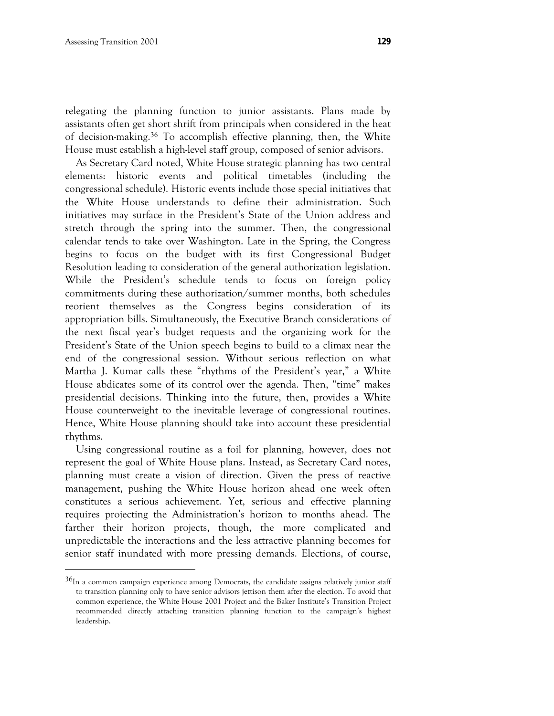$\overline{a}$ 

relegating the planning function to junior assistants. Plans made by assistants often get short shrift from principals when considered in the heat of decision-making.36 To accomplish effective planning, then, the White House must establish a high-level staff group, composed of senior advisors.

As Secretary Card noted, White House strategic planning has two central elements: historic events and political timetables (including the congressional schedule). Historic events include those special initiatives that the White House understands to define their administration. Such initiatives may surface in the President's State of the Union address and stretch through the spring into the summer. Then, the congressional calendar tends to take over Washington. Late in the Spring, the Congress begins to focus on the budget with its first Congressional Budget Resolution leading to consideration of the general authorization legislation. While the President's schedule tends to focus on foreign policy commitments during these authorization/summer months, both schedules reorient themselves as the Congress begins consideration of its appropriation bills. Simultaneously, the Executive Branch considerations of the next fiscal year's budget requests and the organizing work for the President's State of the Union speech begins to build to a climax near the end of the congressional session. Without serious reflection on what Martha J. Kumar calls these "rhythms of the President's year," a White House abdicates some of its control over the agenda. Then, "time" makes presidential decisions. Thinking into the future, then, provides a White House counterweight to the inevitable leverage of congressional routines. Hence, White House planning should take into account these presidential rhythms.

Using congressional routine as a foil for planning, however, does not represent the goal of White House plans. Instead, as Secretary Card notes, planning must create a vision of direction. Given the press of reactive management, pushing the White House horizon ahead one week often constitutes a serious achievement. Yet, serious and effective planning requires projecting the Administration's horizon to months ahead. The farther their horizon projects, though, the more complicated and unpredictable the interactions and the less attractive planning becomes for senior staff inundated with more pressing demands. Elections, of course,

 $36$ In a common campaign experience among Democrats, the candidate assigns relatively junior staff to transition planning only to have senior advisors jettison them after the election. To avoid that common experience, the White House 2001 Project and the Baker Institute's Transition Project recommended directly attaching transition planning function to the campaignís highest leadership.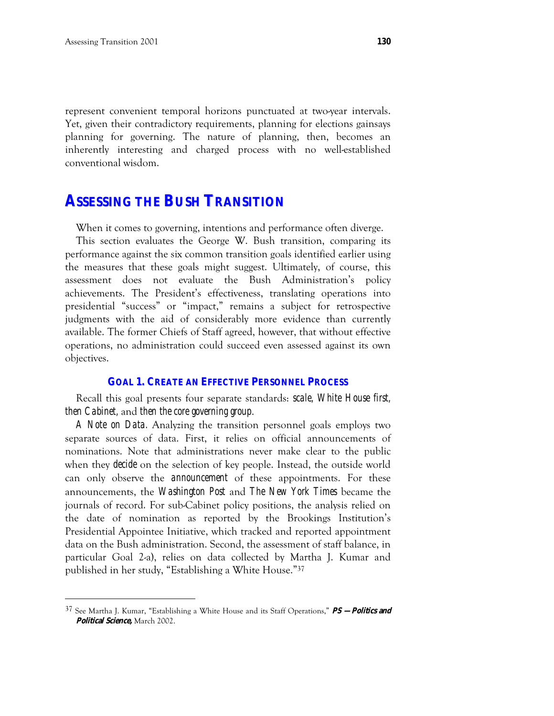$\overline{a}$ 

represent convenient temporal horizons punctuated at two-year intervals. Yet, given their contradictory requirements, planning for elections gainsays planning for governing. The nature of planning, then, becomes an inherently interesting and charged process with no well-established conventional wisdom.

## **ASSESSING THE BUSH TRANSITION**

When it comes to governing, intentions and performance often diverge.

This section evaluates the George W. Bush transition, comparing its performance against the six common transition goals identified earlier using the measures that these goals might suggest. Ultimately, of course, this assessment does not evaluate the Bush Administrationís policy achievements. The President's effectiveness, translating operations into presidential "success" or "impact," remains a subject for retrospective judgments with the aid of considerably more evidence than currently available. The former Chiefs of Staff agreed, however, that without effective operations, no administration could succeed even assessed against its own objectives.

## **GOAL 1. CREATE AN EFFECTIVE PERSONNEL PROCESS**

Recall this goal presents four separate standards: *scale, White House first, then Cabinet,* and *then the core governing group*.

*A Note on Data.* Analyzing the transition personnel goals employs two separate sources of data. First, it relies on official announcements of nominations. Note that administrations never make clear to the public when they *decide* on the selection of key people. Instead, the outside world can only observe the *announcement* of these appointments. For these announcements, the *Washington Post* and *The New York Times* became the journals of record*.* For sub-Cabinet policy positions, the analysis relied on the date of nomination as reported by the Brookings Institutionís Presidential Appointee Initiative, which tracked and reported appointment data on the Bush administration. Second, the assessment of staff balance, in particular Goal [2-a\),](#page-6-0) relies on data collected by Martha J. Kumar and published in her study, "Establishing a White House."<sup>37</sup>

<sup>&</sup>lt;sup>37</sup> See Martha J. Kumar, "Establishing a White House and its Staff Operations," **PS – Politics and Political Science,** March 2002.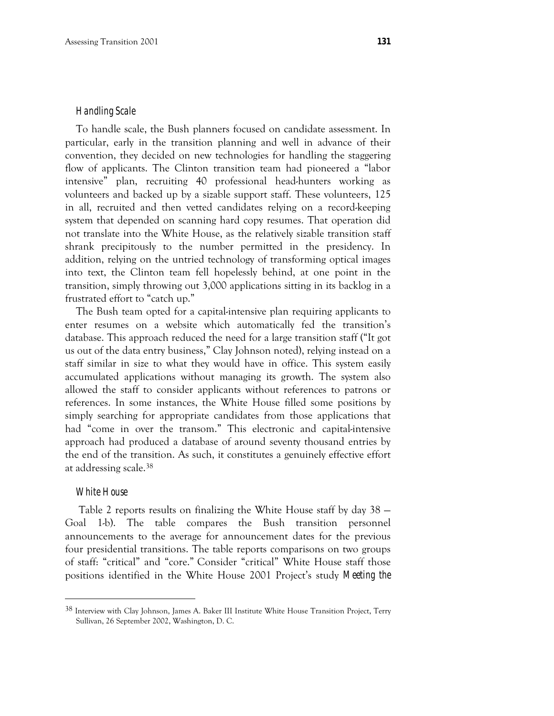## *Handling Scale*

To handle scale, the Bush planners focused on candidate assessment. In particular, early in the transition planning and well in advance of their convention, they decided on new technologies for handling the staggering flow of applicants. The Clinton transition team had pioneered a "labor intensive" plan, recruiting 40 professional head-hunters working as volunteers and backed up by a sizable support staff. These volunteers, 125 in all, recruited and then vetted candidates relying on a record-keeping system that depended on scanning hard copy resumes. That operation did not translate into the White House, as the relatively sizable transition staff shrank precipitously to the number permitted in the presidency. In addition, relying on the untried technology of transforming optical images into text, the Clinton team fell hopelessly behind, at one point in the transition, simply throwing out 3,000 applications sitting in its backlog in a frustrated effort to "catch up."

The Bush team opted for a capital-intensive plan requiring applicants to enter resumes on a website which automatically fed the transitionís database. This approach reduced the need for a large transition staff ("It got us out of the data entry business," Clay Johnson noted), relying instead on a staff similar in size to what they would have in office. This system easily accumulated applications without managing its growth. The system also allowed the staff to consider applicants without references to patrons or references. In some instances, the White House filled some positions by simply searching for appropriate candidates from those applications that had "come in over the transom." This electronic and capital-intensive approach had produced a database of around seventy thousand entries by the end of the transition. As such, it constitutes a genuinely effective effort at addressing scale.38

### *White House*

 $\overline{a}$ 

[Table 2](#page-17-0) reports results on finalizing the White House staff by day  $38 -$ Goal [1-b\).](#page-6-0) The table compares the Bush transition personnel announcements to the average for announcement dates for the previous four presidential transitions. The table reports comparisons on two groups of staff: "critical" and "core." Consider "critical" White House staff those positions identified in the White House 2001 Project's study **Meeting the** 

<sup>&</sup>lt;sup>38</sup> Interview with Clay Johnson, James A. Baker III Institute White House Transition Project, Terry Sullivan, 26 September 2002, Washington, D. C.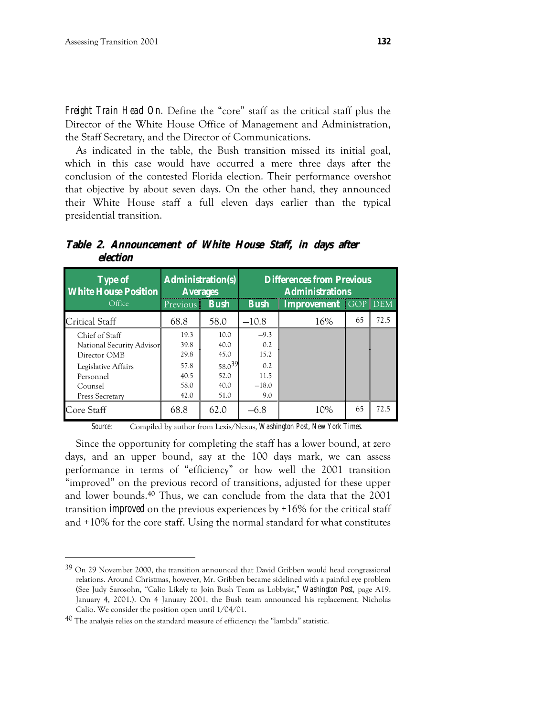<span id="page-17-0"></span>*Freight Train Head On.* Define the "core" staff as the critical staff plus the Director of the White House Office of Management and Administration, the Staff Secretary, and the Director of Communications.

As indicated in the table, the Bush transition missed its initial goal, which in this case would have occurred a mere three days after the conclusion of the contested Florida election. Their performance overshot that objective by about seven days. On the other hand, they announced their White House staff a full eleven days earlier than the typical presidential transition.

**Table 2. Announcement of White House Staff, in days after election**

| <b>Type of</b><br><b>White House Position</b>                                                                                 | <b>Administration(s)</b><br><b>Averages</b>          |                                                        | <b>Differences from Previous</b><br><b>Administrations</b> |                 |    |            |  |  |  |  |
|-------------------------------------------------------------------------------------------------------------------------------|------------------------------------------------------|--------------------------------------------------------|------------------------------------------------------------|-----------------|----|------------|--|--|--|--|
| Office                                                                                                                        | Previous!                                            | <b>Bush</b>                                            | <b>Bush</b>                                                | Improvement GOP |    | <b>DEM</b> |  |  |  |  |
| Critical Staff                                                                                                                | 68.8                                                 | 58.0                                                   | $-10.8$                                                    | 16%             | 65 | 72.5       |  |  |  |  |
| Chief of Staff<br>National Security Advisor<br>Director OMB<br>Legislative Affairs<br>Personnel<br>Counsel<br>Press Secretary | 19.3<br>39.8<br>29.8<br>57.8<br>40.5<br>58.0<br>42.0 | 10.0<br>40.0<br>45.0<br>58.039<br>52.0<br>40.0<br>51.0 | $-9.3$<br>0.2<br>15.2<br>0.2<br>11.5<br>$-18.0$<br>9.0     |                 |    |            |  |  |  |  |
| Core Staff                                                                                                                    | 68.8                                                 | 62.0                                                   | $-6.8$                                                     | 10%             | 65 | 72.5       |  |  |  |  |

*Source:* Compiled by author from Lexis/Nexus, *Washington Post, New York Times*.

Since the opportunity for completing the staff has a lower bound, at zero days, and an upper bound, say at the 100 days mark, we can assess performance in terms of "efficiency" or how well the 2001 transition "improved" on the previous record of transitions, adjusted for these upper and lower bounds.40 Thus, we can conclude from the data that the 2001 transition *improved* on the previous experiences by +16% for the critical staff and +10% for the core staff. Using the normal standard for what constitutes

 $\overline{a}$ 

<sup>&</sup>lt;sup>39</sup> On 29 November 2000, the transition announced that David Gribben would head congressional relations. Around Christmas, however, Mr. Gribben became sidelined with a painful eye problem (See Judy Sarosohn, "Calio Likely to Join Bush Team as Lobbyist," *Washington Post*, page A19, January 4, 2001.). On 4 January 2001, the Bush team announced his replacement, Nicholas Calio. We consider the position open until 1/04/01.

 $40$  The analysis relies on the standard measure of efficiency: the "lambda" statistic.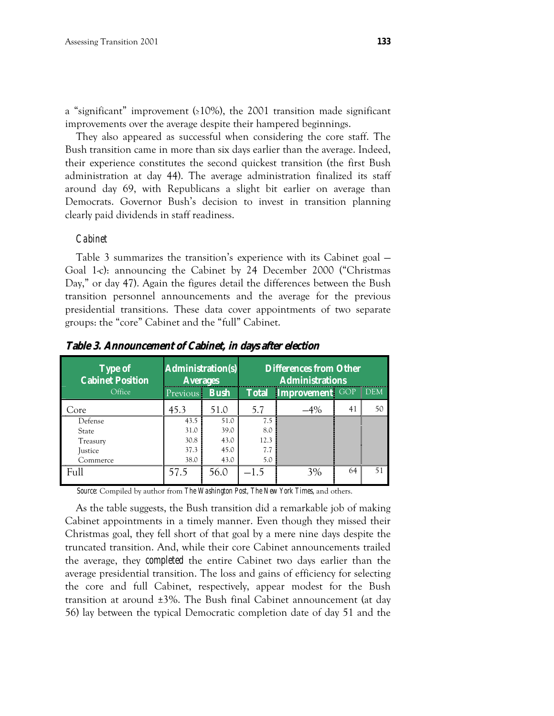a "significant" improvement ( $\geq 10\%$ ), the 2001 transition made significant improvements over the average despite their hampered beginnings.

They also appeared as successful when considering the core staff. The Bush transition came in more than six days earlier than the average. Indeed, their experience constitutes the second quickest transition (the first Bush administration at day 44). The average administration finalized its staff around day 69, with Republicans a slight bit earlier on average than Democrats. Governor Bush's decision to invest in transition planning clearly paid dividends in staff readiness.

## *Cabinet*

Table 3 summarizes the transition's experience with its Cabinet goal  $-$ Goal [1-c\):](#page-6-0) announcing the Cabinet by 24 December 2000 ("Christmas" Day," or day 47). Again the figures detail the differences between the Bush transition personnel announcements and the average for the previous presidential transitions. These data cover appointments of two separate groups: the "core" Cabinet and the "full" Cabinet.

| <b>Type of</b><br><b>Cabinet Position</b> | <b>Administration(s)</b><br><b>Averages</b> |      | <b>Differences from Other</b><br><b>Administrations</b> |                              |    |            |  |  |  |  |
|-------------------------------------------|---------------------------------------------|------|---------------------------------------------------------|------------------------------|----|------------|--|--|--|--|
| Office                                    | Previous Bush                               |      |                                                         | <b>Total Improvement GOP</b> |    | <b>DEM</b> |  |  |  |  |
| Core                                      | 45.3                                        | 51.0 | 5.7                                                     | $-4%$                        | 41 | 50         |  |  |  |  |
| Defense                                   | 43.5                                        | 51.0 | 7.5                                                     |                              |    |            |  |  |  |  |
| State                                     | 31.0                                        | 39.0 | 8.0                                                     |                              |    |            |  |  |  |  |
| Treasury                                  | 30.8                                        | 43.0 | 12.3                                                    |                              |    |            |  |  |  |  |
| Justice                                   | 37.3                                        | 45.0 | 7.7                                                     |                              |    |            |  |  |  |  |
| Commerce                                  | 38.0                                        | 43.0 | 5.0                                                     |                              |    |            |  |  |  |  |
| Full                                      | 57.5                                        | 56.0 | $-1.5$                                                  | 3%                           | 64 | 51         |  |  |  |  |

**Table 3. Announcement of Cabinet, in days after election**

*Source:* Compiled by author from *The Washington Post, The New York Times,* and others.

As the table suggests, the Bush transition did a remarkable job of making Cabinet appointments in a timely manner. Even though they missed their Christmas goal, they fell short of that goal by a mere nine days despite the truncated transition. And, while their core Cabinet announcements trailed the average, they *completed* the entire Cabinet two days earlier than the average presidential transition. The loss and gains of efficiency for selecting the core and full Cabinet, respectively, appear modest for the Bush transition at around ±3%. The Bush final Cabinet announcement (at day 56) lay between the typical Democratic completion date of day 51 and the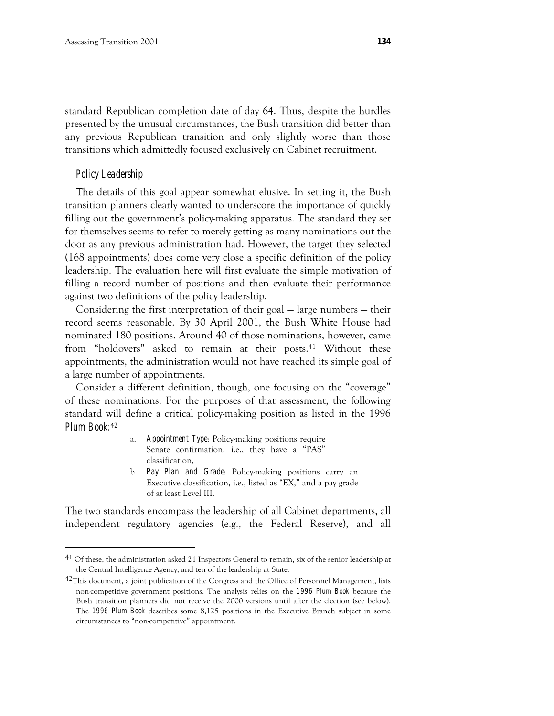standard Republican completion date of day 64. Thus, despite the hurdles presented by the unusual circumstances, the Bush transition did better than any previous Republican transition and only slightly worse than those transitions which admittedly focused exclusively on Cabinet recruitment.

#### *Policy Leadership*

 $\overline{a}$ 

The details of this goal appear somewhat elusive. In setting it, the Bush transition planners clearly wanted to underscore the importance of quickly filling out the government's policy-making apparatus. The standard they set for themselves seems to refer to merely getting as many nominations out the door as any previous administration had. However, the target they selected (168 appointments) does come very close a specific definition of the policy leadership. The evaluation here will first evaluate the simple motivation of filling a record number of positions and then evaluate their performance against two definitions of the policy leadership.

Considering the first interpretation of their goal  $-$  large numbers  $-$  their record seems reasonable. By 30 April 2001, the Bush White House had nominated 180 positions. Around 40 of those nominations, however, came from "holdovers" asked to remain at their posts.<sup>41</sup> Without these appointments, the administration would not have reached its simple goal of a large number of appointments.

Consider a different definition, though, one focusing on the "coverage" of these nominations. For the purposes of that assessment, the following standard will define a critical policy-making position as listed in the 1996 *Plum Book:*<sup>42</sup>

- a. *Appointment Type*: Policy-making positions require Senate confirmation, i.e., they have a "PAS" classification,
- b. *Pay Plan and Grade*: Policy-making positions carry an Executive classification, i.e., listed as "EX," and a pay grade of at least Level III.

The two standards encompass the leadership of all Cabinet departments, all independent regulatory agencies (e.g., the Federal Reserve), and all

<sup>&</sup>lt;sup>41</sup> Of these, the administration asked 21 Inspectors General to remain, six of the senior leadership at the Central Intelligence Agency, and ten of the leadership at State.

<sup>&</sup>lt;sup>42</sup>This document, a joint publication of the Congress and the Office of Personnel Management, lists non-competitive government positions. The analysis relies on the *1996 Plum Book* because the Bush transition planners did not receive the 2000 versions until after the election (see below). The *1996 Plum Book* describes some 8,125 positions in the Executive Branch subject in some circumstances to "non-competitive" appointment.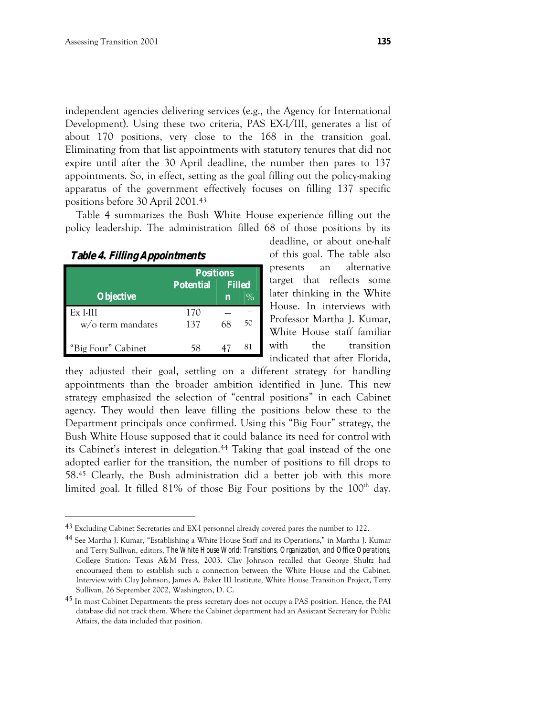independent agencies delivering services (e.g., the Agency for International Development). Using these two criteria, PAS EX-I/III, generates a list of about 170 positions, very close to the 168 in the transition goal. Eliminating from that list appointments with statutory tenures that did not expire until after the 30 April deadline, the number then pares to 137 appointments. So, in effect, setting as the goal filling out the policy-making apparatus of the government effectively focuses on filling 137 specific positions before 30 April 2001.43

Table 4 summarizes the Bush White House experience filling out the policy leadership. The administration filled 68 of those positions by its

### **Table 4. Filling Appointments**

 $\overline{a}$ 

|                    | <b>Positions</b>                  |    |      |  |  |  |  |  |  |
|--------------------|-----------------------------------|----|------|--|--|--|--|--|--|
|                    | <b>Filled</b><br><b>Potential</b> |    |      |  |  |  |  |  |  |
| <b>Objective</b>   |                                   |    | $\%$ |  |  |  |  |  |  |
| Ex I-III           | 170                               |    |      |  |  |  |  |  |  |
| w/o term mandates  | 137                               | 68 | 50   |  |  |  |  |  |  |
| "Big Four" Cabinet | 58                                |    |      |  |  |  |  |  |  |

deadline, or about one-half of this goal. The table also presents an alternative target that reflects some later thinking in the White House. In interviews with Professor Martha J. Kumar, White House staff familiar with the transition indicated that after Florida,

they adjusted their goal, settling on a different strategy for handling appointments than the broader ambition identified in June. This new strategy emphasized the selection of "central positions" in each Cabinet agency. They would then leave filling the positions below these to the Department principals once confirmed. Using this "Big Four" strategy, the Bush White House supposed that it could balance its need for control with its Cabinet's interest in delegation.<sup>44</sup> Taking that goal instead of the one adopted earlier for the transition, the number of positions to fill drops to 58.45 Clearly, the Bush administration did a better job with this more limited goal. It filled  $81\%$  of those Big Four positions by the  $100<sup>th</sup>$  day.

<sup>43</sup> Excluding Cabinet Secretaries and EX-I personnel already covered pares the number to 122.

<sup>44</sup> See Martha J. Kumar, "Establishing a White House Staff and its Operations," in Martha J. Kumar and Terry Sullivan, editors, *The White House World: Transitions, Organization, and Office Operations,*  College Station: Texas A*&*M Press, 2003. Clay Johnson recalled that George Shultz had encouraged them to establish such a connection between the White House and the Cabinet. Interview with Clay Johnson, James A. Baker III Institute, White House Transition Project, Terry Sullivan, 26 September 2002, Washington, D. C.

<sup>45</sup> In most Cabinet Departments the press secretary does not occupy a PAS position. Hence, the PAI database did not track them. Where the Cabinet department had an Assistant Secretary for Public Affairs, the data included that position.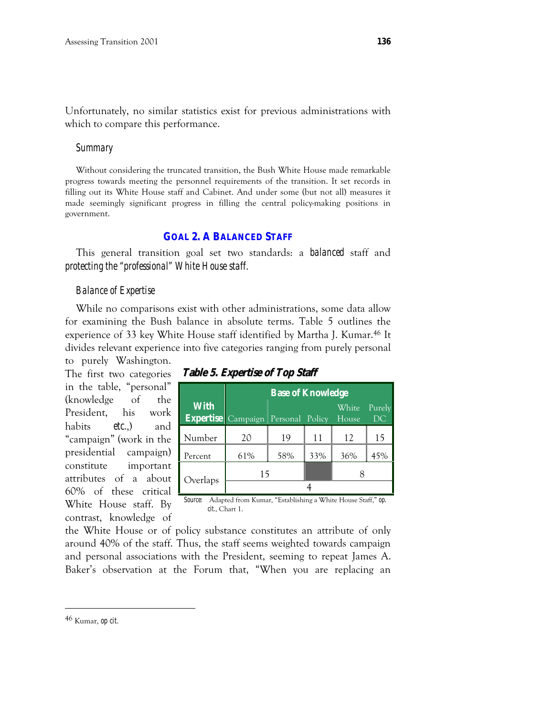Unfortunately, no similar statistics exist for previous administrations with which to compare this performance.

#### *Summary*

Without considering the truncated transition, the Bush White House made remarkable progress towards meeting the personnel requirements of the transition. It set records in filling out its White House staff and Cabinet. And under some (but not all) measures it made seemingly significant progress in filling the central policy-making positions in government.

#### **GOAL 2. A BALANCED STAFF**

This general transition goal set two standards: a *balanced* staff and *protecting the "professional" White House staff*.

#### *Balance of Expertise*

While no comparisons exist with other administrations, some data allow for examining the Bush balance in absolute terms. Table 5 outlines the experience of 33 key White House staff identified by Martha J. Kumar.<sup>46</sup> It divides relevant experience into five categories ranging from purely personal

**Table 5. Expertise of Top Staff**

to purely Washington. The first two categories in the table, "personal" (knowledge of the President, his work habits *etc.*,) and "campaign" (work in the presidential campaign) constitute important attributes of a about 60% of these critical White House staff. By contrast, knowledge of

|             |                                    | <b>Base of Knowledge</b> |        |                |              |  |  |  |  |  |  |  |  |
|-------------|------------------------------------|--------------------------|--------|----------------|--------------|--|--|--|--|--|--|--|--|
| <b>With</b> | <b>Expertise</b> Campaign Personal |                          | Policy | White<br>House | Purely<br>DС |  |  |  |  |  |  |  |  |
| Number      | 20                                 | 19                       | 11     | 12             | 15           |  |  |  |  |  |  |  |  |
| Percent     | 61%                                | 58%                      | 33%    | 36%            | 45%          |  |  |  |  |  |  |  |  |
| Overlaps    | 15                                 |                          |        |                |              |  |  |  |  |  |  |  |  |
|             |                                    |                          |        |                |              |  |  |  |  |  |  |  |  |

**Source:** Adapted from Kumar, "Establishing a White House Staff," op. *cit.,* Chart 1.

the White House or of policy substance constitutes an attribute of only around 40% of the staff. Thus, the staff seems weighted towards campaign and personal associations with the President, seeming to repeat James A. Baker's observation at the Forum that, "When you are replacing an

 $\overline{a}$ 

<sup>46</sup> Kumar, *op cit*.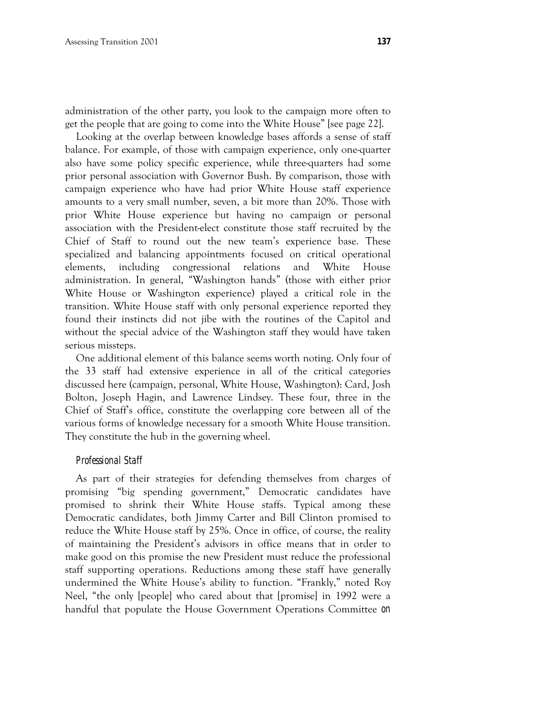administration of the other party, you look to the campaign more often to get the people that are going to come into the White House" [see page 22].

Looking at the overlap between knowledge bases affords a sense of staff balance. For example, of those with campaign experience, only one-quarter also have some policy specific experience, while three-quarters had some prior personal association with Governor Bush. By comparison, those with campaign experience who have had prior White House staff experience amounts to a very small number, seven, a bit more than 20%. Those with prior White House experience but having no campaign or personal association with the President-elect constitute those staff recruited by the Chief of Staff to round out the new teamís experience base. These specialized and balancing appointments focused on critical operational elements, including congressional relations and White House administration. In general, "Washington hands" (those with either prior White House or Washington experience) played a critical role in the transition. White House staff with only personal experience reported they found their instincts did not jibe with the routines of the Capitol and without the special advice of the Washington staff they would have taken serious missteps.

One additional element of this balance seems worth noting. Only four of the 33 staff had extensive experience in all of the critical categories discussed here (campaign, personal, White House, Washington): Card, Josh Bolton, Joseph Hagin, and Lawrence Lindsey. These four, three in the Chief of Staff's office, constitute the overlapping core between all of the various forms of knowledge necessary for a smooth White House transition. They constitute the hub in the governing wheel.

#### *Professional Staff*

As part of their strategies for defending themselves from charges of promising "big spending government," Democratic candidates have promised to shrink their White House staffs. Typical among these Democratic candidates, both Jimmy Carter and Bill Clinton promised to reduce the White House staff by 25%. Once in office, of course, the reality of maintaining the President's advisors in office means that in order to make good on this promise the new President must reduce the professional staff supporting operations. Reductions among these staff have generally undermined the White House's ability to function. "Frankly," noted Roy Neel, "the only [people] who cared about that [promise] in 1992 were a handful that populate the House Government Operations Committee *on*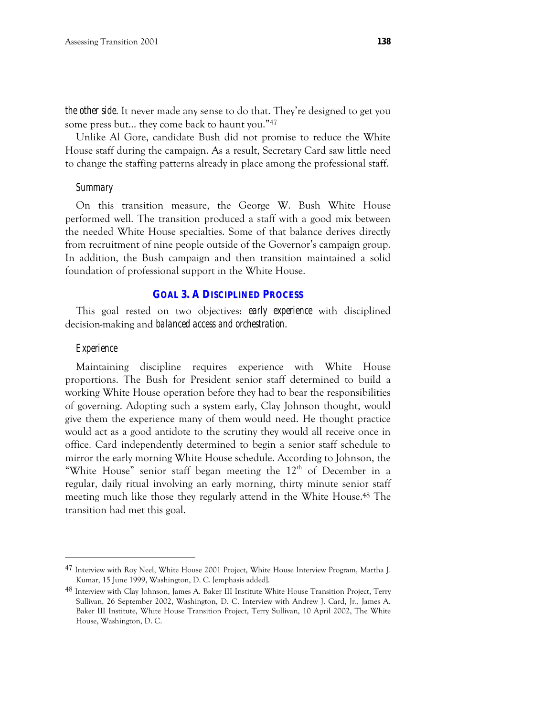*the other side*. It never made any sense to do that. They're designed to get you some press but... they come back to haunt you."47

Unlike Al Gore, candidate Bush did not promise to reduce the White House staff during the campaign. As a result, Secretary Card saw little need to change the staffing patterns already in place among the professional staff.

#### *Summary*

On this transition measure, the George W. Bush White House performed well. The transition produced a staff with a good mix between the needed White House specialties. Some of that balance derives directly from recruitment of nine people outside of the Governor's campaign group. In addition, the Bush campaign and then transition maintained a solid foundation of professional support in the White House.

## **GOAL 3. A DISCIPLINED PROCESS**

This goal rested on two objectives: *early experience* with disciplined decision-making and *balanced access and orchestration*.

#### *Experience*

 $\overline{a}$ 

Maintaining discipline requires experience with White House proportions. The Bush for President senior staff determined to build a working White House operation before they had to bear the responsibilities of governing. Adopting such a system early, Clay Johnson thought, would give them the experience many of them would need. He thought practice would act as a good antidote to the scrutiny they would all receive once in office. Card independently determined to begin a senior staff schedule to mirror the early morning White House schedule. According to Johnson, the "White House" senior staff began meeting the  $12<sup>th</sup>$  of December in a regular, daily ritual involving an early morning, thirty minute senior staff meeting much like those they regularly attend in the White House.48 The transition had met this goal.

<sup>47</sup> Interview with Roy Neel, White House 2001 Project, White House Interview Program, Martha J. Kumar, 15 June 1999, Washington, D. C. [emphasis added].

<sup>48</sup> Interview with Clay Johnson, James A. Baker III Institute White House Transition Project, Terry Sullivan, 26 September 2002, Washington, D. C. Interview with Andrew J. Card, Jr., James A. Baker III Institute, White House Transition Project, Terry Sullivan, 10 April 2002, The White House, Washington, D. C.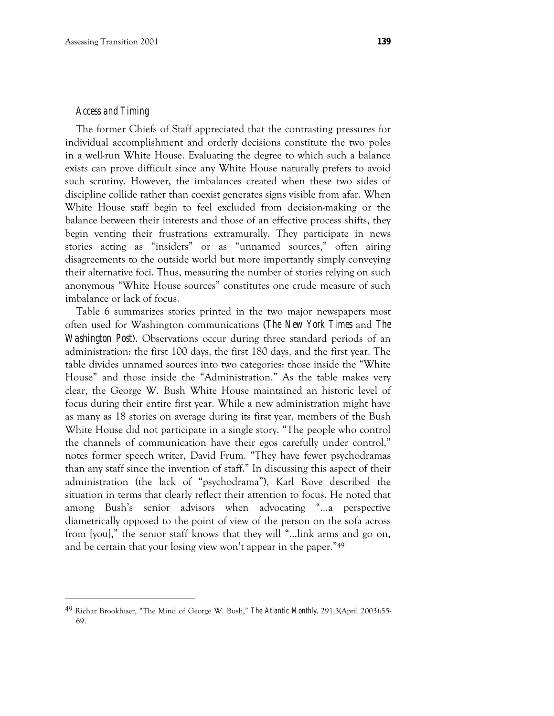#### *Access and Timing*

 $\overline{a}$ 

The former Chiefs of Staff appreciated that the contrasting pressures for individual accomplishment and orderly decisions constitute the two poles in a well-run White House. Evaluating the degree to which such a balance exists can prove difficult since any White House naturally prefers to avoid such scrutiny. However, the imbalances created when these two sides of discipline collide rather than coexist generates signs visible from afar. When White House staff begin to feel excluded from decision-making or the balance between their interests and those of an effective process shifts, they begin venting their frustrations extramurally. They participate in news stories acting as "insiders" or as "unnamed sources," often airing disagreements to the outside world but more importantly simply conveying their alternative foci. Thus, measuring the number of stories relying on such anonymous "White House sources" constitutes one crude measure of such imbalance or lack of focus.

[Table 6](#page-25-0) summarizes stories printed in the two major newspapers most often used for Washington communications (*The New York Times* and *The Washington Post*). Observations occur during three standard periods of an administration: the first 100 days, the first 180 days, and the first year. The table divides unnamed sources into two categories: those inside the "White" House" and those inside the "Administration." As the table makes very clear, the George W. Bush White House maintained an historic level of focus during their entire first year. While a new administration might have as many as 18 stories on average during its first year, members of the Bush White House did not participate in a single story. "The people who control the channels of communication have their egos carefully under control," notes former speech writer, David Frum. "They have fewer psychodramas than any staff since the invention of staff." In discussing this aspect of their administration (the lack of "psychodrama"), Karl Rove described the situation in terms that clearly reflect their attention to focus. He noted that among Bush's senior advisors when advocating "...a perspective diametrically opposed to the point of view of the person on the sofa across from [you]," the senior staff knows that they will "...link arms and go on, and be certain that your losing view won't appear in the paper." $49$ 

<sup>&</sup>lt;sup>49</sup> Richar Brookhiser, "The Mind of George W. Bush," The Atlantic Monthly, 291,3(April 2003):55-69.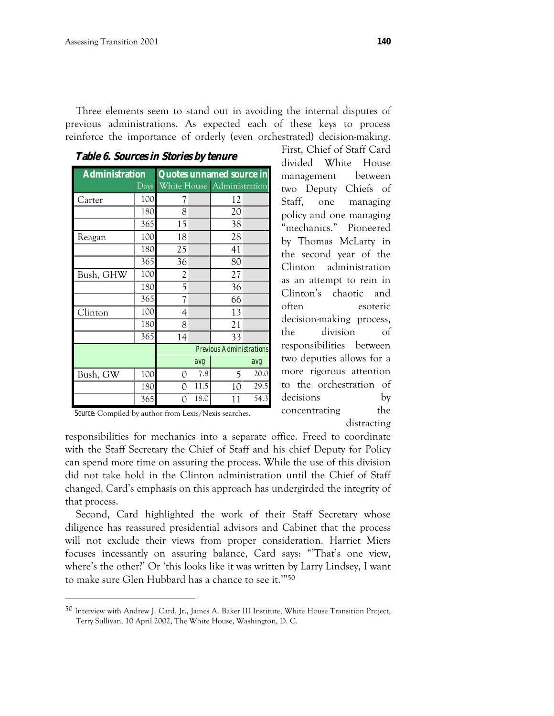<span id="page-25-0"></span>Three elements seem to stand out in avoiding the internal disputes of previous administrations. As expected each of these keys to process reinforce the importance of orderly (even orchestrated) decision-making.

| <b>Administration</b> |      |    |      | Quotes unnamed source in        |      |
|-----------------------|------|----|------|---------------------------------|------|
|                       | Days |    |      | White House Administration      |      |
| Carter                | 100  | 7  |      | 12                              |      |
|                       | 180  | 8  |      | 20                              |      |
|                       | 365  | 15 |      | 38                              |      |
| Reagan                | 100  | 18 |      | 28                              |      |
|                       | 180  | 25 |      | 41                              |      |
|                       | 365  | 36 |      | 80                              |      |
| Bush, GHW             | 100  | 2  |      | 27                              |      |
|                       | 180  | 5  |      | 36                              |      |
|                       | 365  | 7  |      | 66                              |      |
| Clinton               | 100  | 4  |      | 13                              |      |
|                       | 180  | 8  |      | 21                              |      |
|                       | 365  | 14 |      | 33                              |      |
|                       |      |    |      | <b>Previous Administrations</b> |      |
|                       |      |    | avg  |                                 | avg  |
| Bush, GW              | 100  | 0  | 7.8  | 5                               | 20.0 |
|                       | 180  | 0  | 11.5 | 10                              | 29.5 |
|                       | 365  | ∩  | 18.0 |                                 | 54.3 |

**Table 6. Sources in Stories by tenure**

*Source*: Compiled by author from Lexis/Nexis searches.

 $\overline{a}$ 

First, Chief of Staff Card divided White House management between two Deputy Chiefs of Staff, one managing policy and one managing "mechanics." Pioneered by Thomas McLarty in the second year of the Clinton administration as an attempt to rein in Clinton's chaotic and often esoteric decision-making process, the division of responsibilities between two deputies allows for a more rigorous attention to the orchestration of decisions by concentrating the

distracting

responsibilities for mechanics into a separate office. Freed to coordinate with the Staff Secretary the Chief of Staff and his chief Deputy for Policy can spend more time on assuring the process. While the use of this division did not take hold in the Clinton administration until the Chief of Staff changed, Cardís emphasis on this approach has undergirded the integrity of that process.

Second, Card highlighted the work of their Staff Secretary whose diligence has reassured presidential advisors and Cabinet that the process will not exclude their views from proper consideration. Harriet Miers focuses incessantly on assuring balance, Card says: "That's one view, where's the other?' Or 'this looks like it was written by Larry Lindsey, I want to make sure Glen Hubbard has a chance to see it."<sup>50</sup>

<sup>50</sup> Interview with Andrew J. Card, Jr., James A. Baker III Institute, White House Transition Project, Terry Sullivan, 10 April 2002, The White House, Washington, D. C.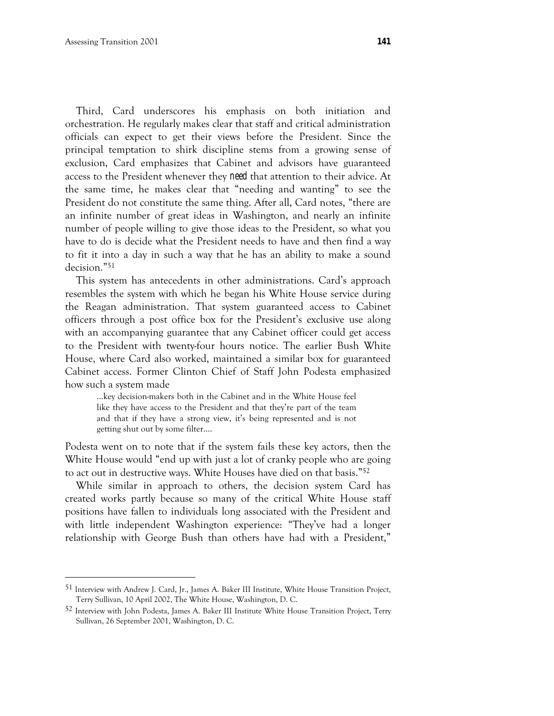$\overline{a}$ 

Third, Card underscores his emphasis on both initiation and orchestration. He regularly makes clear that staff and critical administration officials can expect to get their views before the President. Since the principal temptation to shirk discipline stems from a growing sense of exclusion, Card emphasizes that Cabinet and advisors have guaranteed access to the President whenever they *need* that attention to their advice. At the same time, he makes clear that "needing and wanting" to see the President do not constitute the same thing. After all, Card notes, "there are an infinite number of great ideas in Washington, and nearly an infinite number of people willing to give those ideas to the President, so what you have to do is decide what the President needs to have and then find a way to fit it into a day in such a way that he has an ability to make a sound decision."<sup>51</sup>

This system has antecedents in other administrations. Card's approach resembles the system with which he began his White House service during the Reagan administration. That system guaranteed access to Cabinet officers through a post office box for the President's exclusive use along with an accompanying guarantee that any Cabinet officer could get access to the President with twenty-four hours notice. The earlier Bush White House, where Card also worked, maintained a similar box for guaranteed Cabinet access. Former Clinton Chief of Staff John Podesta emphasized how such a system made

... key decision-makers both in the Cabinet and in the White House feel like they have access to the President and that they're part of the team and that if they have a strong view, it's being represented and is not getting shut out by some filter....

Podesta went on to note that if the system fails these key actors, then the White House would "end up with just a lot of cranky people who are going to act out in destructive ways. White Houses have died on that basis."<sup>52</sup>

While similar in approach to others, the decision system Card has created works partly because so many of the critical White House staff positions have fallen to individuals long associated with the President and with little independent Washington experience: "They've had a longer relationship with George Bush than others have had with a President,"

<sup>51</sup> Interview with Andrew J. Card, Jr., James A. Baker III Institute, White House Transition Project, Terry Sullivan, 10 April 2002, The White House, Washington, D. C.

<sup>52</sup> Interview with John Podesta, James A. Baker III Institute White House Transition Project, Terry Sullivan, 26 September 2001, Washington, D. C.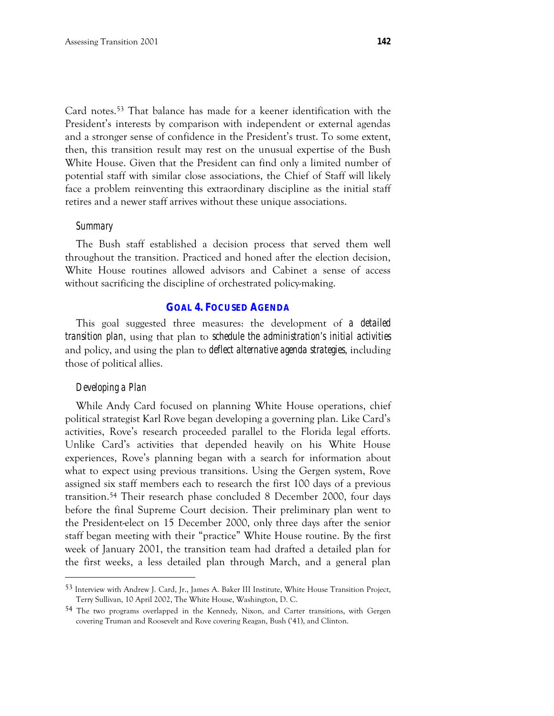Card notes.53 That balance has made for a keener identification with the President's interests by comparison with independent or external agendas and a stronger sense of confidence in the President's trust. To some extent, then, this transition result may rest on the unusual expertise of the Bush White House. Given that the President can find only a limited number of potential staff with similar close associations, the Chief of Staff will likely face a problem reinventing this extraordinary discipline as the initial staff retires and a newer staff arrives without these unique associations.

#### *Summary*

The Bush staff established a decision process that served them well throughout the transition. Practiced and honed after the election decision, White House routines allowed advisors and Cabinet a sense of access without sacrificing the discipline of orchestrated policy-making.

#### **GOAL 4. FOCUSED AGENDA**

This goal suggested three measures: the development of *a detailed transition plan*, using that plan to *schedule the administration's initial activities*  and policy, and using the plan to *deflect alternative agenda strategies*, including those of political allies.

## *Developing a Plan*

<u>.</u>

While Andy Card focused on planning White House operations, chief political strategist Karl Rove began developing a governing plan. Like Card's activities, Rove's research proceeded parallel to the Florida legal efforts. Unlike Card's activities that depended heavily on his White House experiences, Rove's planning began with a search for information about what to expect using previous transitions. Using the Gergen system, Rove assigned six staff members each to research the first 100 days of a previous transition.54 Their research phase concluded 8 December 2000, four days before the final Supreme Court decision. Their preliminary plan went to the President-elect on 15 December 2000, only three days after the senior staff began meeting with their "practice" White House routine. By the first week of January 2001, the transition team had drafted a detailed plan for the first weeks, a less detailed plan through March, and a general plan

<sup>53</sup> Interview with Andrew J. Card, Jr., James A. Baker III Institute, White House Transition Project, Terry Sullivan, 10 April 2002, The White House, Washington, D. C.

<sup>54</sup> The two programs overlapped in the Kennedy, Nixon, and Carter transitions, with Gergen covering Truman and Roosevelt and Rove covering Reagan, Bush (ë41), and Clinton.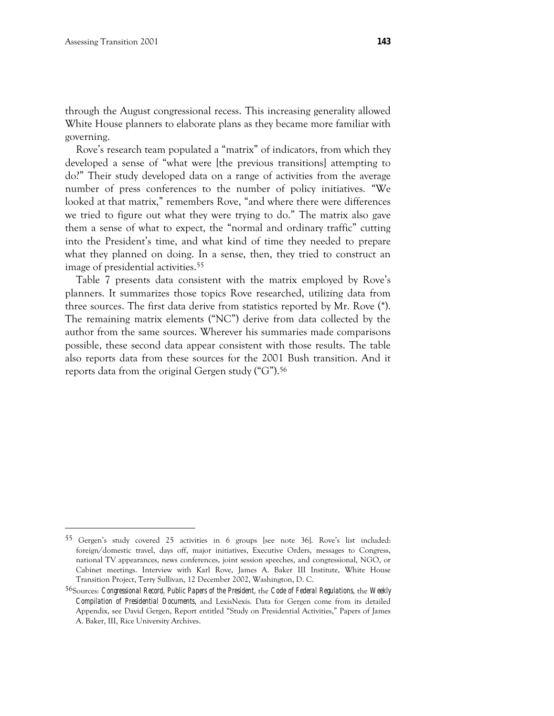$\overline{a}$ 

through the August congressional recess. This increasing generality allowed White House planners to elaborate plans as they became more familiar with governing.

Rove's research team populated a "matrix" of indicators, from which they developed a sense of "what were [the previous transitions] attempting to do?î Their study developed data on a range of activities from the average number of press conferences to the number of policy initiatives. "We looked at that matrix," remembers Rove, "and where there were differences we tried to figure out what they were trying to do." The matrix also gave them a sense of what to expect, the "normal and ordinary traffic" cutting into the President's time, and what kind of time they needed to prepare what they planned on doing. In a sense, then, they tried to construct an image of presidential activities.<sup>55</sup>

[Table 7](#page-29-0) presents data consistent with the matrix employed by Rove's planners. It summarizes those topics Rove researched, utilizing data from three sources. The first data derive from statistics reported by Mr. Rove (\*). The remaining matrix elements ("NC") derive from data collected by the author from the same sources. Wherever his summaries made comparisons possible, these second data appear consistent with those results. The table also reports data from these sources for the 2001 Bush transition. And it reports data from the original Gergen study  $("G").$ <sup>56</sup>

<sup>&</sup>lt;sup>55</sup> Gergen's study covered 25 activities in 6 groups [see note 36]. Rove's list included: foreign/domestic travel, days off, major initiatives, Executive Orders, messages to Congress, national TV appearances, news conferences, joint session speeches, and congressional, NGO, or Cabinet meetings. Interview with Karl Rove, James A. Baker III Institute, White House Transition Project, Terry Sullivan, 12 December 2002, Washington, D. C.

<sup>56</sup>Sources: *Congressional Record, Public Papers of the President,* the *Code of Federal Regulations*, the *Weekly Compilation of Presidential Documents*, and LexisNexis*.* Data for Gergen come from its detailed Appendix, see David Gergen, Report entitled "Study on Presidential Activities," Papers of James A. Baker, III, Rice University Archives.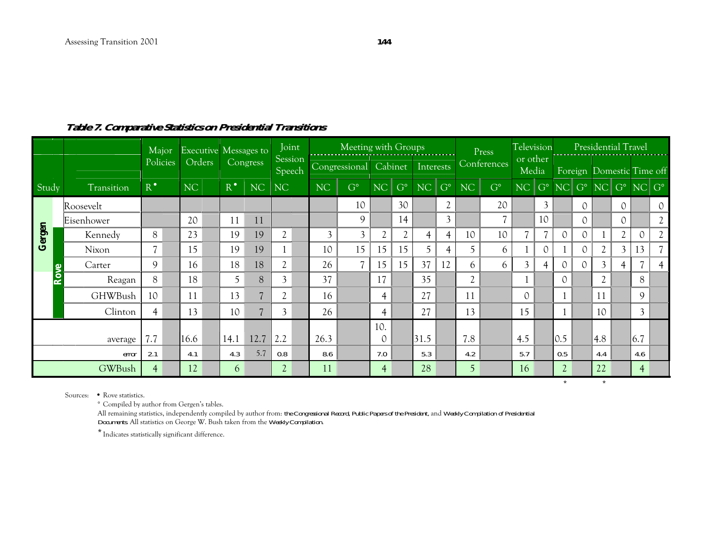|        | Major          |                          |        |               | Joint<br>Executive Messages to |                   | Meeting with Groups |               |                |                |                | Television<br>Press |                |                | Presidential Travel |                |                |               |                                                 |                |                |                |
|--------|----------------|--------------------------|--------|---------------|--------------------------------|-------------------|---------------------|---------------|----------------|----------------|----------------|---------------------|----------------|----------------|---------------------|----------------|----------------|---------------|-------------------------------------------------|----------------|----------------|----------------|
|        |                | Policies                 | Orders |               | Congress                       | Session<br>Speech |                     | Congressional |                | Cabinet        | Interests      |                     |                | Conferences    | or other<br>Media   |                |                |               | Foreign Domestic Time off                       |                |                |                |
| Study  | Transition     | $R^{\bullet}$            | NC     | $R^{\bullet}$ | NC                             | NC                | NC                  | $G^{\circ}$   | NC             | $G^{\circ}$    | <b>NC</b>      | $G^{\circ}$         | NC             | $G^{\circ}$    | <b>NC</b>           | $G^{\circ}$    | NC             | $G^{\circ}$   | $\sqrt{NC}$ $G^{\circ}$ $\sqrt{NC}$ $G^{\circ}$ |                |                |                |
|        | Roosevelt      |                          |        |               |                                |                   |                     | 10            |                | 30             |                | $\mathfrak{2}$      |                | 20             |                     | 3              |                | $\mathcal{O}$ |                                                 |                |                | $\mathbf{O}$   |
|        | Eisenhower     |                          | 20     | 11            | 11                             |                   |                     | 9             |                | 14             |                | 3                   |                | $\overline{ }$ |                     | 10             |                | $\mathcal{O}$ |                                                 |                |                | $\overline{2}$ |
| Gergen | Kennedy        | 8                        | 23     | 19            | 19                             | 2                 | 3                   | 3             | $\mathfrak{2}$ | $\overline{2}$ | $\overline{4}$ | 4                   | 10             | 10             | 7                   | $\overline{7}$ | $\mathcal{O}$  | $\mathcal{O}$ |                                                 | $\mathfrak{2}$ | $\mathcal{O}$  | $\overline{2}$ |
|        | <b>Nixon</b>   | $\overline{\mathcal{U}}$ | 15     | 19            | 19                             |                   | 10                  | 15            | 15             | 15             | 5              | 4                   | 5              | 6              |                     | $\mathcal{O}$  |                | 0             | $\mathfrak{2}$                                  | 3              | 13             |                |
|        | Carter         | 9                        | 16     | 18            | 18                             | $\overline{2}$    | 26                  | 7             | 15             | 15             | 37             | 12                  | 6              | 6              | $\overline{3}$      | 4              | $\mathcal{O}$  | $\Omega$      | 3                                               | $\overline{4}$ | $\overline{ }$ | $\overline{4}$ |
|        | Rove<br>Reagan | 8                        | 18     | 5             | 8                              | $\overline{3}$    | 37                  |               | 17             |                | 35             |                     | $\overline{2}$ |                |                     |                | $\Omega$       |               | $\mathfrak{2}$                                  |                | 8              |                |
|        | GHWBush        | 10                       | 11     | 13            | $\mathbf{r}$                   | $\mathfrak{2}$    | 16                  |               | 4              |                | 27             |                     | 11             |                | 0                   |                |                |               | 11                                              |                | 9              |                |
|        | Clinton        | $\overline{4}$           | 13     | 10            |                                | 3                 | 26                  |               | $\overline{4}$ |                | 27             |                     | 13             |                | 15                  |                |                |               | 10                                              |                | 3              |                |
|        |                |                          |        |               |                                |                   |                     |               | 10.            |                |                |                     |                |                |                     |                |                |               |                                                 |                |                |                |
|        | average        | 7.7                      | 16.6   | 14.1          | 12.7                           | 2.2               | 26.3                |               | $\Omega$       |                | 31.5           |                     | 7.8            |                | 4.5                 |                | 0.5            |               | 4.8                                             |                | 6.7            |                |
|        | error          | 2.1                      | 4.1    | 4.3           | 5.7                            | 0.8               | 8.6                 |               | 7.0            |                | 5.3            |                     | 4.2            |                | 5.7                 |                | 0.5            |               | 4.4                                             |                | 4.6            |                |
|        | <b>GWBush</b>  | $\overline{4}$           | 12     | 6             |                                | $\overline{2}$    | 11                  |               | 4              |                | 28             |                     | 5              |                | 16                  |                | $\overline{2}$ |               | 22                                              |                | $\overline{4}$ |                |

<span id="page-29-0"></span>**Table 7. Comparative Statistics on Presidential Transitions**

Sources: • Rove statistics.

° Compiled by author from Gergen's tables.

All remaining statistics, independently compiled by author from: *the Congressional Record, Public Papers of the President,* and *Weekly Compilation of Presidential Documents*. All statistics on George W. Bush taken from the *Weekly Compilation.* 

\*\*

 $^\star$  Indicates statistically significant difference.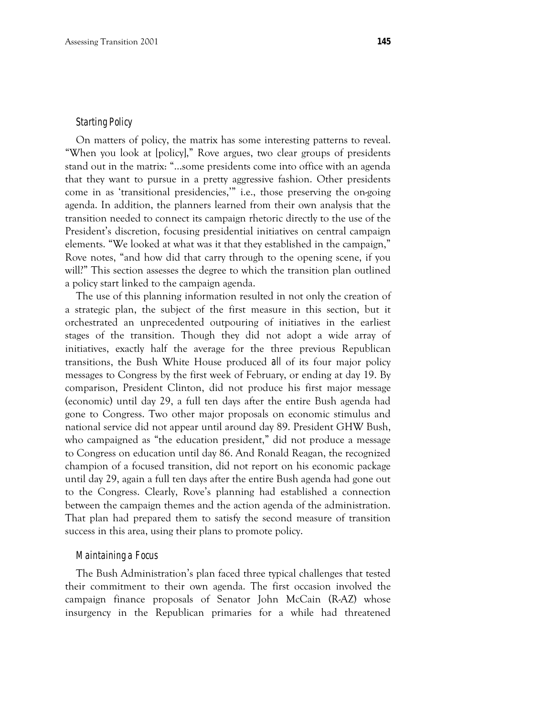#### *Starting Policy*

On matters of policy, the matrix has some interesting patterns to reveal. "When you look at [policy]," Rove argues, two clear groups of presidents stand out in the matrix: "...some presidents come into office with an agenda that they want to pursue in a pretty aggressive fashion. Other presidents come in as 'transitional presidencies," i.e., those preserving the on-going agenda. In addition, the planners learned from their own analysis that the transition needed to connect its campaign rhetoric directly to the use of the President's discretion, focusing presidential initiatives on central campaign elements. "We looked at what was it that they established in the campaign," Rove notes, "and how did that carry through to the opening scene, if you will?" This section assesses the degree to which the transition plan outlined a policy start linked to the campaign agenda.

The use of this planning information resulted in not only the creation of a strategic plan, the subject of the first measure in this section, but it orchestrated an unprecedented outpouring of initiatives in the earliest stages of the transition. Though they did not adopt a wide array of initiatives, exactly half the average for the three previous Republican transitions, the Bush White House produced *all* of its four major policy messages to Congress by the first week of February, or ending at day 19. By comparison, President Clinton, did not produce his first major message (economic) until day 29, a full ten days after the entire Bush agenda had gone to Congress. Two other major proposals on economic stimulus and national service did not appear until around day 89. President GHW Bush, who campaigned as "the education president," did not produce a message to Congress on education until day 86. And Ronald Reagan, the recognized champion of a focused transition, did not report on his economic package until day 29, again a full ten days after the entire Bush agenda had gone out to the Congress. Clearly, Rove's planning had established a connection between the campaign themes and the action agenda of the administration. That plan had prepared them to satisfy the second measure of transition success in this area, using their plans to promote policy.

#### *Maintaining a Focus*

The Bush Administration's plan faced three typical challenges that tested their commitment to their own agenda. The first occasion involved the campaign finance proposals of Senator John McCain (R-AZ) whose insurgency in the Republican primaries for a while had threatened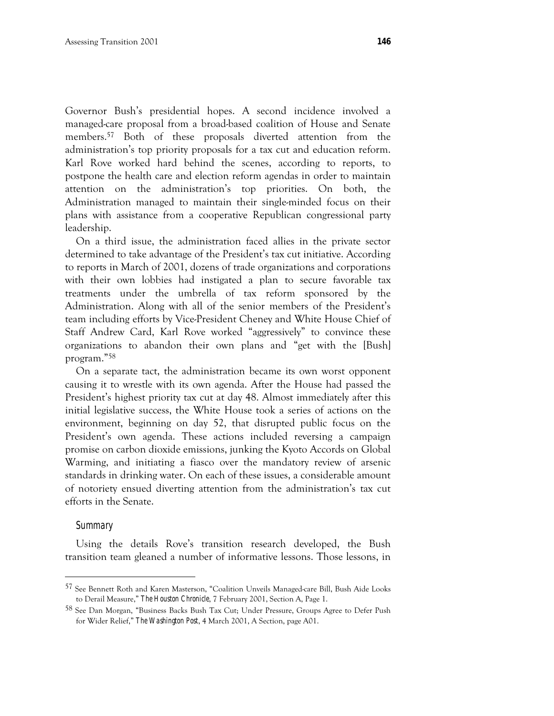Governor Bush's presidential hopes. A second incidence involved a managed-care proposal from a broad-based coalition of House and Senate members.57 Both of these proposals diverted attention from the administration's top priority proposals for a tax cut and education reform. Karl Rove worked hard behind the scenes, according to reports, to postpone the health care and election reform agendas in order to maintain attention on the administration's top priorities. On both, the Administration managed to maintain their single-minded focus on their plans with assistance from a cooperative Republican congressional party leadership.

On a third issue, the administration faced allies in the private sector determined to take advantage of the President's tax cut initiative. According to reports in March of 2001, dozens of trade organizations and corporations with their own lobbies had instigated a plan to secure favorable tax treatments under the umbrella of tax reform sponsored by the Administration. Along with all of the senior members of the President's team including efforts by Vice-President Cheney and White House Chief of Staff Andrew Card, Karl Rove worked "aggressively" to convince these organizations to abandon their own plans and "get with the [Bush] program."58

On a separate tact, the administration became its own worst opponent causing it to wrestle with its own agenda. After the House had passed the President's highest priority tax cut at day 48. Almost immediately after this initial legislative success, the White House took a series of actions on the environment, beginning on day 52, that disrupted public focus on the President's own agenda. These actions included reversing a campaign promise on carbon dioxide emissions, junking the Kyoto Accords on Global Warming, and initiating a fiasco over the mandatory review of arsenic standards in drinking water. On each of these issues, a considerable amount of notoriety ensued diverting attention from the administrationís tax cut efforts in the Senate.

#### *Summary*

 $\overline{a}$ 

Using the details Rove's transition research developed, the Bush transition team gleaned a number of informative lessons. Those lessons, in

<sup>57</sup> See Bennett Roth and Karen Masterson, "Coalition Unveils Managed-care Bill, Bush Aide Looks to Derail Measure," *The Houston Chronicle*, 7 February 2001, Section A, Page 1.

<sup>58</sup> See Dan Morgan, "Business Backs Bush Tax Cut; Under Pressure, Groups Agree to Defer Push for Wider Relief," The Washington Post, 4 March 2001, A Section, page A01.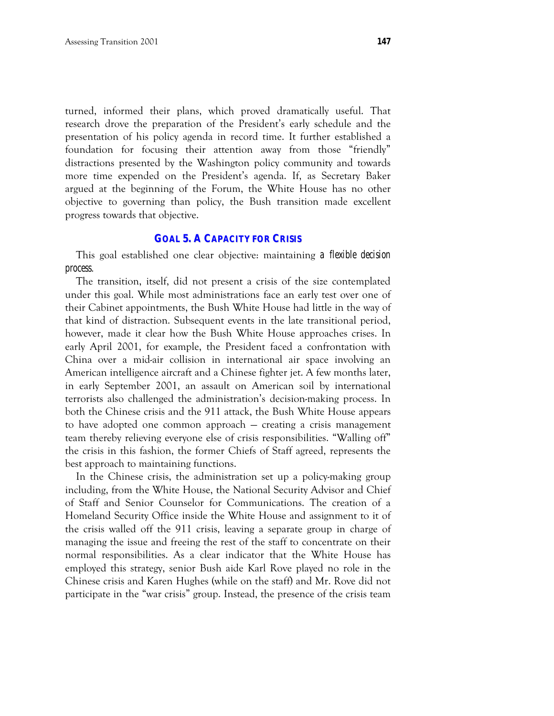turned, informed their plans, which proved dramatically useful. That research drove the preparation of the President's early schedule and the presentation of his policy agenda in record time. It further established a foundation for focusing their attention away from those "friendly" distractions presented by the Washington policy community and towards more time expended on the President's agenda. If, as Secretary Baker argued at the beginning of the Forum, the White House has no other objective to governing than policy, the Bush transition made excellent progress towards that objective.

### **GOAL 5. A CAPACITY FOR CRISIS**

This goal established one clear objective: maintaining *a flexible decision process*.

The transition, itself, did not present a crisis of the size contemplated under this goal. While most administrations face an early test over one of their Cabinet appointments, the Bush White House had little in the way of that kind of distraction. Subsequent events in the late transitional period, however, made it clear how the Bush White House approaches crises. In early April 2001, for example, the President faced a confrontation with China over a mid-air collision in international air space involving an American intelligence aircraft and a Chinese fighter jet. A few months later, in early September 2001, an assault on American soil by international terrorists also challenged the administration's decision-making process. In both the Chinese crisis and the 911 attack, the Bush White House appears to have adopted one common approach – creating a crisis management team thereby relieving everyone else of crisis responsibilities. "Walling off" the crisis in this fashion, the former Chiefs of Staff agreed, represents the best approach to maintaining functions.

In the Chinese crisis, the administration set up a policy-making group including, from the White House, the National Security Advisor and Chief of Staff and Senior Counselor for Communications. The creation of a Homeland Security Office inside the White House and assignment to it of the crisis walled off the 911 crisis, leaving a separate group in charge of managing the issue and freeing the rest of the staff to concentrate on their normal responsibilities. As a clear indicator that the White House has employed this strategy, senior Bush aide Karl Rove played no role in the Chinese crisis and Karen Hughes (while on the staff) and Mr. Rove did not participate in the "war crisis" group. Instead, the presence of the crisis team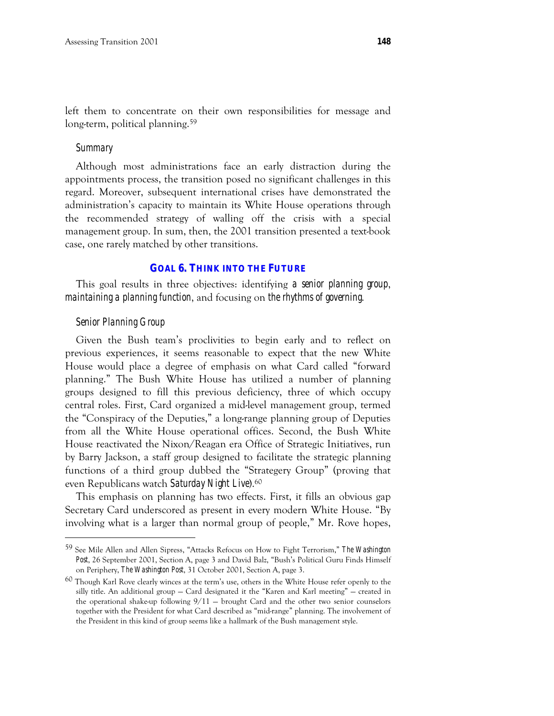left them to concentrate on their own responsibilities for message and long-term, political planning.<sup>59</sup>

#### *Summary*

Although most administrations face an early distraction during the appointments process, the transition posed no significant challenges in this regard. Moreover, subsequent international crises have demonstrated the administration's capacity to maintain its White House operations through the recommended strategy of walling off the crisis with a special management group. In sum, then, the 2001 transition presented a text-book case, one rarely matched by other transitions.

## **GOAL 6. THINK INTO THE FUTURE**

This goal results in three objectives: identifying *a senior planning group*, *maintaining a planning function*, and focusing on *the rhythms of governing*.

#### *Senior Planning Group*

<u>.</u>

Given the Bush team's proclivities to begin early and to reflect on previous experiences, it seems reasonable to expect that the new White House would place a degree of emphasis on what Card called "forward planning.î The Bush White House has utilized a number of planning groups designed to fill this previous deficiency, three of which occupy central roles. First, Card organized a mid-level management group, termed the "Conspiracy of the Deputies," a long-range planning group of Deputies from all the White House operational offices. Second, the Bush White House reactivated the Nixon/Reagan era Office of Strategic Initiatives, run by Barry Jackson, a staff group designed to facilitate the strategic planning functions of a third group dubbed the "Strategery Group" (proving that even Republicans watch *Saturday Night Live*).60

This emphasis on planning has two effects. First, it fills an obvious gap Secretary Card underscored as present in every modern White House. "By involving what is a larger than normal group of people," Mr. Rove hopes,

<sup>&</sup>lt;sup>59</sup> See Mile Allen and Allen Sipress, "Attacks Refocus on How to Fight Terrorism," *The Washington* Post, 26 September 2001, Section A, page 3 and David Balz, "Bush's Political Guru Finds Himself on Periphery, *The Washington Post*, 31 October 2001, Section A, page 3.

<sup>60</sup> Though Karl Rove clearly winces at the termís use, others in the White House refer openly to the silly title. An additional group  $-$  Card designated it the "Karen and Karl meeting"  $-$  created in the operational shake-up following  $9/11$  – brought Card and the other two senior counselors together with the President for what Card described as "mid-range" planning. The involvement of the President in this kind of group seems like a hallmark of the Bush management style.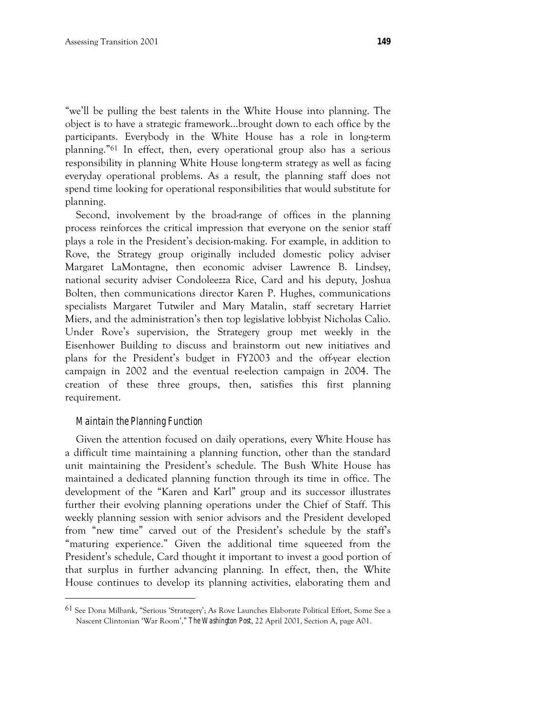"we'll be pulling the best talents in the White House into planning. The object is to have a strategic framework...brought down to each office by the participants. Everybody in the White House has a role in long-term planning.<sup>"61</sup> In effect, then, every operational group also has a serious responsibility in planning White House long-term strategy as well as facing everyday operational problems. As a result, the planning staff does not spend time looking for operational responsibilities that would substitute for planning.

Second, involvement by the broad-range of offices in the planning process reinforces the critical impression that everyone on the senior staff plays a role in the Presidentís decision-making. For example, in addition to Rove, the Strategy group originally included domestic policy adviser Margaret LaMontagne, then economic adviser Lawrence B. Lindsey, national security adviser Condoleezza Rice, Card and his deputy, Joshua Bolten, then communications director Karen P. Hughes, communications specialists Margaret Tutwiler and Mary Matalin, staff secretary Harriet Miers, and the administration's then top legislative lobbyist Nicholas Calio. Under Rove's supervision, the Strategery group met weekly in the Eisenhower Building to discuss and brainstorm out new initiatives and plans for the President's budget in FY2003 and the off-year election campaign in 2002 and the eventual re-election campaign in 2004. The creation of these three groups, then, satisfies this first planning requirement.

## *Maintain the Planning Function*

<u>.</u>

Given the attention focused on daily operations, every White House has a difficult time maintaining a planning function, other than the standard unit maintaining the President's schedule. The Bush White House has maintained a dedicated planning function through its time in office. The development of the "Karen and Karl" group and its successor illustrates further their evolving planning operations under the Chief of Staff. This weekly planning session with senior advisors and the President developed from "new time" carved out of the President's schedule by the staff's "maturing experience." Given the additional time squeezed from the President's schedule, Card thought it important to invest a good portion of that surplus in further advancing planning. In effect, then, the White House continues to develop its planning activities, elaborating them and

<sup>61</sup> See Dona Milbank, "Serious 'Strategery'; As Rove Launches Elaborate Political Effort, Some See a Nascent Clintonian 'War Room'," The Washington Post, 22 April 2001, Section A, page A01.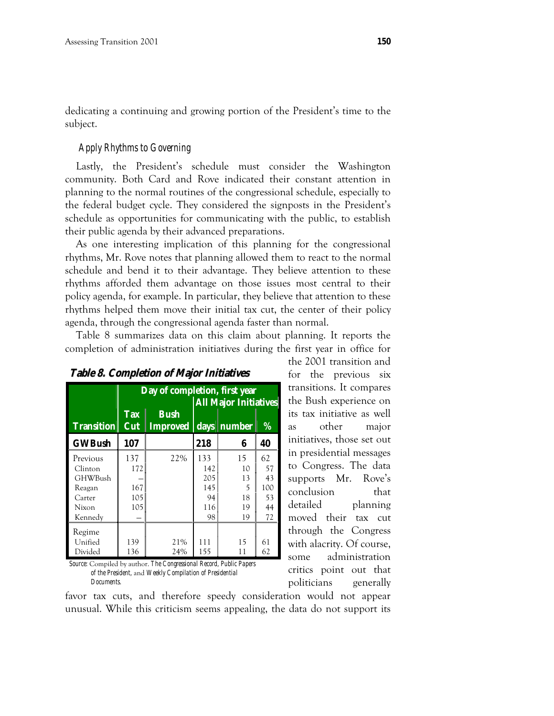dedicating a continuing and growing portion of the President's time to the subject.

## *Apply Rhythms to Governing*

Lastly, the President's schedule must consider the Washington community. Both Card and Rove indicated their constant attention in planning to the normal routines of the congressional schedule, especially to the federal budget cycle. They considered the signposts in the Presidentís schedule as opportunities for communicating with the public, to establish their public agenda by their advanced preparations.

As one interesting implication of this planning for the congressional rhythms, Mr. Rove notes that planning allowed them to react to the normal schedule and bend it to their advantage. They believe attention to these rhythms afforded them advantage on those issues most central to their policy agenda, for example. In particular, they believe that attention to these rhythms helped them move their initial tax cut, the center of their policy agenda, through the congressional agenda faster than normal.

Table 8 summarizes data on this claim about planning. It reports the completion of administration initiatives during the first year in office for

|                   | Day of completion, first year |                 |     |                              |     |  |  |  |  |  |  |  |
|-------------------|-------------------------------|-----------------|-----|------------------------------|-----|--|--|--|--|--|--|--|
|                   |                               |                 |     | <b>All Major Initiatives</b> |     |  |  |  |  |  |  |  |
|                   | <b>Tax</b>                    | <b>Bush</b>     |     |                              |     |  |  |  |  |  |  |  |
| <b>Transition</b> | $\overline{\text{Cut}}$       | <b>Improved</b> |     | days   number                | %   |  |  |  |  |  |  |  |
| <b>GWBush</b>     | 107                           |                 | 218 | 6                            | 40  |  |  |  |  |  |  |  |
| Previous          | 137                           | 22%             | 133 | 15                           | 62  |  |  |  |  |  |  |  |
| Clinton           | 172                           |                 | 142 | 10                           | 57  |  |  |  |  |  |  |  |
| GHWBush           |                               |                 | 205 | 13                           | 43  |  |  |  |  |  |  |  |
| Reagan            | 167                           |                 | 145 | 5                            | 100 |  |  |  |  |  |  |  |
| Carter            | 105                           |                 | 94  | 18                           | 53  |  |  |  |  |  |  |  |
| Nixon             | 105                           |                 | 116 | 19                           | 44  |  |  |  |  |  |  |  |
| Kennedy           |                               |                 | 98  | 19                           | 72  |  |  |  |  |  |  |  |
| Regime            |                               |                 |     |                              |     |  |  |  |  |  |  |  |
| Unified           | 139                           | 21%             | 111 | 15                           | 61  |  |  |  |  |  |  |  |
| Divided           | 136                           | 24%             | 155 | 11                           | 62  |  |  |  |  |  |  |  |

#### **Table 8. Completion of Major Initiatives**

*Source:* Compiled by author. *The Congressional Record, Public Papers of the President,* and *Weekly Compilation of Presidential Documents*.

the 2001 transition and for the previous six transitions. It compares the Bush experience on its tax initiative as well as other major initiatives, those set out in presidential messages to Congress. The data supports Mr. Rove's conclusion that detailed planning moved their tax cut through the Congress with alacrity. Of course, some administration critics point out that politicians generally

favor tax cuts, and therefore speedy consideration would not appear unusual. While this criticism seems appealing, the data do not support its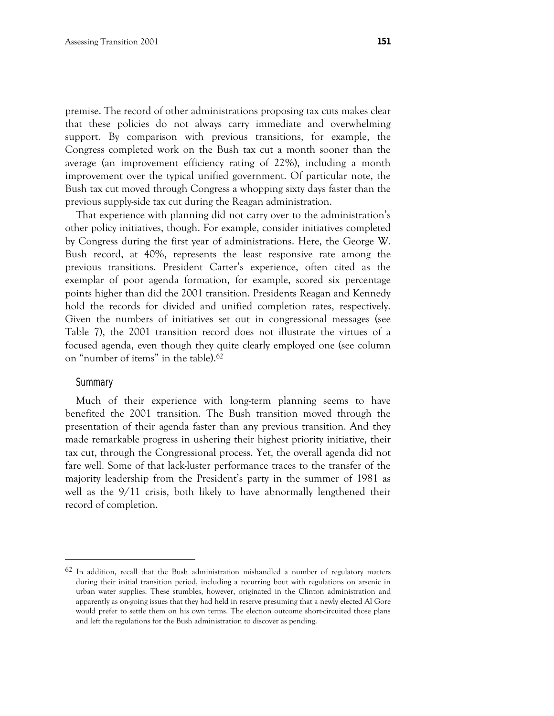premise. The record of other administrations proposing tax cuts makes clear that these policies do not always carry immediate and overwhelming support. By comparison with previous transitions, for example, the Congress completed work on the Bush tax cut a month sooner than the average (an improvement efficiency rating of 22%), including a month improvement over the typical unified government. Of particular note, the Bush tax cut moved through Congress a whopping sixty days faster than the previous supply-side tax cut during the Reagan administration.

That experience with planning did not carry over to the administration's other policy initiatives, though. For example, consider initiatives completed by Congress during the first year of administrations. Here, the George W. Bush record, at 40%, represents the least responsive rate among the previous transitions. President Carter's experience, often cited as the exemplar of poor agenda formation, for example, scored six percentage points higher than did the 2001 transition. Presidents Reagan and Kennedy hold the records for divided and unified completion rates, respectively. Given the numbers of initiatives set out in congressional messages (see [Table 7\)](#page-29-0), the 2001 transition record does not illustrate the virtues of a focused agenda, even though they quite clearly employed one (see column on "number of items" in the table).<sup>62</sup>

## *Summary*

 $\overline{a}$ 

Much of their experience with long-term planning seems to have benefited the 2001 transition. The Bush transition moved through the presentation of their agenda faster than any previous transition. And they made remarkable progress in ushering their highest priority initiative, their tax cut, through the Congressional process. Yet, the overall agenda did not fare well. Some of that lack-luster performance traces to the transfer of the majority leadership from the President's party in the summer of 1981 as well as the  $9/11$  crisis, both likely to have abnormally lengthened their record of completion.

 $62$  In addition, recall that the Bush administration mishandled a number of regulatory matters during their initial transition period, including a recurring bout with regulations on arsenic in urban water supplies. These stumbles, however, originated in the Clinton administration and apparently as on-going issues that they had held in reserve presuming that a newly elected Al Gore would prefer to settle them on his own terms. The election outcome short-circuited those plans and left the regulations for the Bush administration to discover as pending.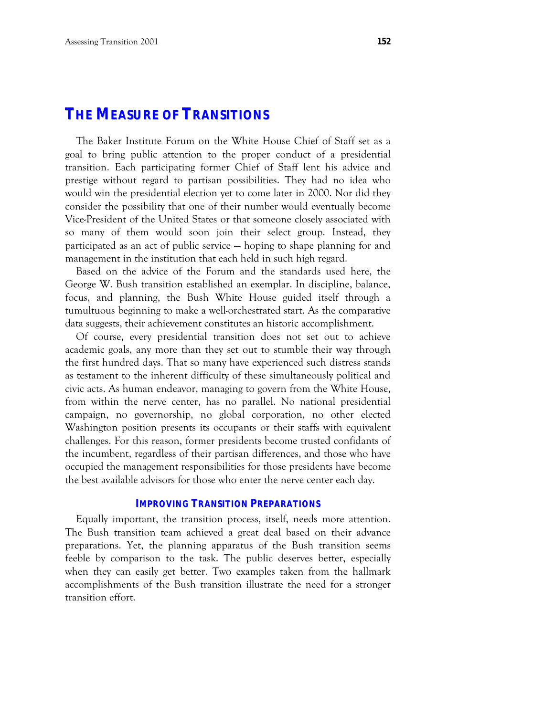## **THE MEASURE OF TRANSITIONS**

The Baker Institute Forum on the White House Chief of Staff set as a goal to bring public attention to the proper conduct of a presidential transition. Each participating former Chief of Staff lent his advice and prestige without regard to partisan possibilities. They had no idea who would win the presidential election yet to come later in 2000. Nor did they consider the possibility that one of their number would eventually become Vice-President of the United States or that someone closely associated with so many of them would soon join their select group. Instead, they participated as an act of public service – hoping to shape planning for and management in the institution that each held in such high regard.

Based on the advice of the Forum and the standards used here, the George W. Bush transition established an exemplar. In discipline, balance, focus, and planning, the Bush White House guided itself through a tumultuous beginning to make a well-orchestrated start. As the comparative data suggests, their achievement constitutes an historic accomplishment.

Of course, every presidential transition does not set out to achieve academic goals, any more than they set out to stumble their way through the first hundred days. That so many have experienced such distress stands as testament to the inherent difficulty of these simultaneously political and civic acts. As human endeavor, managing to govern from the White House, from within the nerve center, has no parallel. No national presidential campaign, no governorship, no global corporation, no other elected Washington position presents its occupants or their staffs with equivalent challenges. For this reason, former presidents become trusted confidants of the incumbent, regardless of their partisan differences, and those who have occupied the management responsibilities for those presidents have become the best available advisors for those who enter the nerve center each day.

#### **IMPROVING TRANSITION PREPARATIONS**

Equally important, the transition process, itself, needs more attention. The Bush transition team achieved a great deal based on their advance preparations. Yet, the planning apparatus of the Bush transition seems feeble by comparison to the task. The public deserves better, especially when they can easily get better. Two examples taken from the hallmark accomplishments of the Bush transition illustrate the need for a stronger transition effort.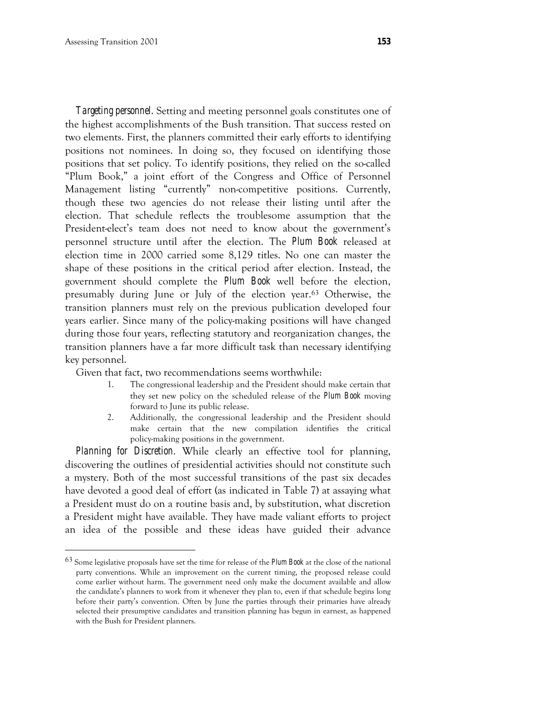$\overline{a}$ 

*Targeting personnel.* Setting and meeting personnel goals constitutes one of the highest accomplishments of the Bush transition. That success rested on two elements. First, the planners committed their early efforts to identifying positions not nominees. In doing so, they focused on identifying those positions that set policy. To identify positions, they relied on the so-called "Plum Book," a joint effort of the Congress and Office of Personnel Management listing "currently" non-competitive positions. Currently, though these two agencies do not release their listing until after the election. That schedule reflects the troublesome assumption that the President-elect's team does not need to know about the government's personnel structure until after the election. The *Plum Book* released at election time in 2000 carried some 8,129 titles. No one can master the shape of these positions in the critical period after election. Instead, the government should complete the *Plum Book* well before the election, presumably during June or July of the election year.63 Otherwise, the transition planners must rely on the previous publication developed four years earlier. Since many of the policy-making positions will have changed during those four years, reflecting statutory and reorganization changes, the transition planners have a far more difficult task than necessary identifying key personnel.

Given that fact, two recommendations seems worthwhile:

- 1. The congressional leadership and the President should make certain that they set new policy on the scheduled release of the *Plum Book* moving forward to June its public release.
- 2. Additionally, the congressional leadership and the President should make certain that the new compilation identifies the critical policy-making positions in the government.

*Planning for Discretion*. While clearly an effective tool for planning, discovering the outlines of presidential activities should not constitute such a mystery. Both of the most successful transitions of the past six decades have devoted a good deal of effort (as indicated in [Table 7\)](#page-29-0) at assaying what a President must do on a routine basis and, by substitution, what discretion a President might have available. They have made valiant efforts to project an idea of the possible and these ideas have guided their advance

<sup>63</sup> Some legislative proposals have set the time for release of the *Plum Book* at the close of the national party conventions. While an improvement on the current timing, the proposed release could come earlier without harm. The government need only make the document available and allow the candidate's planners to work from it whenever they plan to, even if that schedule begins long before their partyís convention. Often by June the parties through their primaries have already selected their presumptive candidates and transition planning has begun in earnest, as happened with the Bush for President planners.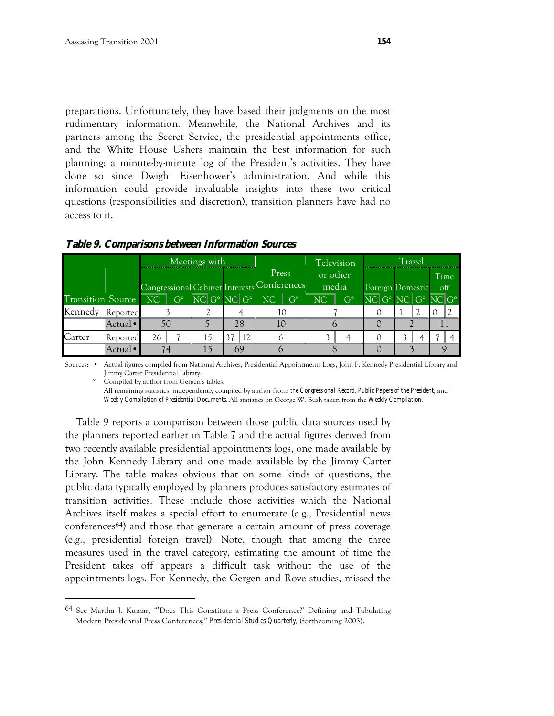preparations. Unfortunately, they have based their judgments on the most rudimentary information. Meanwhile, the National Archives and its partners among the Secret Service, the presidential appointments office, and the White House Ushers maintain the best information for such planning: a minute-by-minute log of the President's activities. They have done so since Dwight Eisenhower's administration. And while this information could provide invaluable insights into these two critical questions (responsibilities and discretion), transition planners have had no access to it.

|                          |          |    | Meetings with |    |                             |    |                                             |                | Television |             | Travel |  |                                          |  |      |  |
|--------------------------|----------|----|---------------|----|-----------------------------|----|---------------------------------------------|----------------|------------|-------------|--------|--|------------------------------------------|--|------|--|
|                          |          |    |               |    |                             |    |                                             | Press          |            | or other    |        |  |                                          |  | Time |  |
|                          |          |    |               |    |                             |    | Congressional Cabinet Interests Conferences |                | media      |             |        |  | Foreign Domestic                         |  | off  |  |
| <b>Transition Source</b> |          | NC | $G^{\circ}$   |    | $NC G^{\circ} NC G^{\circ}$ |    | NC                                          | G <sup>o</sup> | NC         | $G^{\circ}$ |        |  | $NC G^{\circ} NC G^{\circ} NC G^{\circ}$ |  |      |  |
| Kennedy Reported         |          |    |               |    |                             |    |                                             |                |            |             |        |  |                                          |  |      |  |
|                          | Actual • | 50 |               |    | 28                          |    | 10                                          |                |            |             |        |  |                                          |  |      |  |
| Carter                   | Reported | 26 |               | ۱5 |                             | 12 | $\theta$                                    |                |            |             |        |  |                                          |  |      |  |
|                          | Actual • |    | 74            |    |                             |    |                                             |                |            |             |        |  |                                          |  |      |  |

|  |  | <b>Table 9. Comparisons between Information Sources</b> |  |  |  |  |
|--|--|---------------------------------------------------------|--|--|--|--|
|--|--|---------------------------------------------------------|--|--|--|--|

Sources: . Actual figures compiled from National Archives, Presidential Appointments Logs, John F. Kennedy Presidential Library and Jimmy Carter Presidential Library.

Compiled by author from Gergen's tables.

<u>.</u>

All remaining statistics, independently compiled by author from: *the Congressional Record, Public Papers of the President,* and *Weekly Compilation of Presidential Documents*. All statistics on George W. Bush taken from the *Weekly Compilation.* 

Table 9 reports a comparison between those public data sources used by the planners reported earlier in [Table 7](#page-29-0) and the actual figures derived from two recently available presidential appointments logs, one made available by the John Kennedy Library and one made available by the Jimmy Carter Library. The table makes obvious that on some kinds of questions, the public data typically employed by planners produces satisfactory estimates of transition activities. These include those activities which the National Archives itself makes a special effort to enumerate (e.g., Presidential news conferences64) and those that generate a certain amount of press coverage (e.g., presidential foreign travel). Note, though that among the three measures used in the travel category, estimating the amount of time the President takes off appears a difficult task without the use of the appointments logs. For Kennedy, the Gergen and Rove studies, missed the

<sup>&</sup>lt;sup>64</sup> See Martha J. Kumar, "Does This Constitute a Press Conference?' Defining and Tabulating Modern Presidential Press Conferences," Presidential Studies Quarterly, (forthcoming 2003).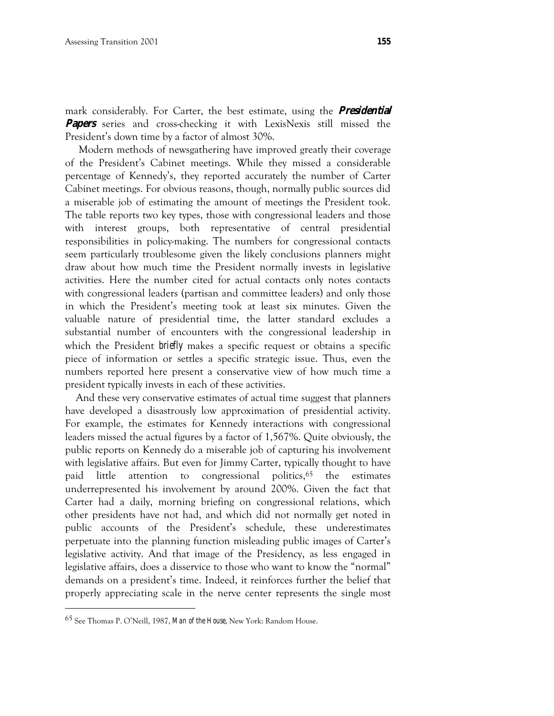mark considerably. For Carter, the best estimate, using the **Presidential Papers** series and cross-checking it with LexisNexis still missed the President's down time by a factor of almost 30%.

 Modern methods of newsgathering have improved greatly their coverage of the President's Cabinet meetings. While they missed a considerable percentage of Kennedyís, they reported accurately the number of Carter Cabinet meetings. For obvious reasons, though, normally public sources did a miserable job of estimating the amount of meetings the President took. The table reports two key types, those with congressional leaders and those with interest groups, both representative of central presidential responsibilities in policy-making. The numbers for congressional contacts seem particularly troublesome given the likely conclusions planners might draw about how much time the President normally invests in legislative activities. Here the number cited for actual contacts only notes contacts with congressional leaders (partisan and committee leaders) and only those in which the President's meeting took at least six minutes. Given the valuable nature of presidential time, the latter standard excludes a substantial number of encounters with the congressional leadership in which the President *briefly* makes a specific request or obtains a specific piece of information or settles a specific strategic issue. Thus, even the numbers reported here present a conservative view of how much time a president typically invests in each of these activities.

And these very conservative estimates of actual time suggest that planners have developed a disastrously low approximation of presidential activity. For example, the estimates for Kennedy interactions with congressional leaders missed the actual figures by a factor of 1,567%. Quite obviously, the public reports on Kennedy do a miserable job of capturing his involvement with legislative affairs. But even for Jimmy Carter, typically thought to have paid little attention to congressional politics,<sup>65</sup> the estimates underrepresented his involvement by around 200%. Given the fact that Carter had a daily, morning briefing on congressional relations, which other presidents have not had, and which did not normally get noted in public accounts of the President's schedule, these underestimates perpetuate into the planning function misleading public images of Carter's legislative activity. And that image of the Presidency, as less engaged in legislative affairs, does a disservice to those who want to know the "normal" demands on a president's time. Indeed, it reinforces further the belief that properly appreciating scale in the nerve center represents the single most

 $\overline{a}$ 

<sup>65</sup> See Thomas P. OíNeill, 1987, *Man of the House,* New York: Random House.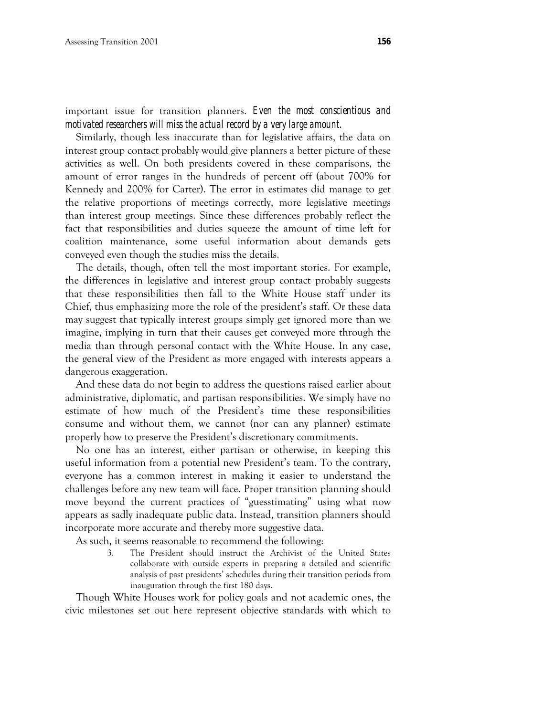## important issue for transition planners. *Even the most conscientious and motivated researchers will miss the actual record by a very large amount.*

Similarly, though less inaccurate than for legislative affairs, the data on interest group contact probably would give planners a better picture of these activities as well. On both presidents covered in these comparisons, the amount of error ranges in the hundreds of percent off (about 700% for Kennedy and 200% for Carter). The error in estimates did manage to get the relative proportions of meetings correctly, more legislative meetings than interest group meetings. Since these differences probably reflect the fact that responsibilities and duties squeeze the amount of time left for coalition maintenance, some useful information about demands gets conveyed even though the studies miss the details.

The details, though, often tell the most important stories. For example, the differences in legislative and interest group contact probably suggests that these responsibilities then fall to the White House staff under its Chief, thus emphasizing more the role of the president's staff. Or these data may suggest that typically interest groups simply get ignored more than we imagine, implying in turn that their causes get conveyed more through the media than through personal contact with the White House. In any case, the general view of the President as more engaged with interests appears a dangerous exaggeration.

And these data do not begin to address the questions raised earlier about administrative, diplomatic, and partisan responsibilities. We simply have no estimate of how much of the President's time these responsibilities consume and without them, we cannot (nor can any planner) estimate properly how to preserve the President's discretionary commitments.

No one has an interest, either partisan or otherwise, in keeping this useful information from a potential new President's team. To the contrary, everyone has a common interest in making it easier to understand the challenges before any new team will face. Proper transition planning should move beyond the current practices of "guesstimating" using what now appears as sadly inadequate public data. Instead, transition planners should incorporate more accurate and thereby more suggestive data.

As such, it seems reasonable to recommend the following:

3. The President should instruct the Archivist of the United States collaborate with outside experts in preparing a detailed and scientific analysis of past presidents' schedules during their transition periods from inauguration through the first 180 days.

Though White Houses work for policy goals and not academic ones, the civic milestones set out here represent objective standards with which to